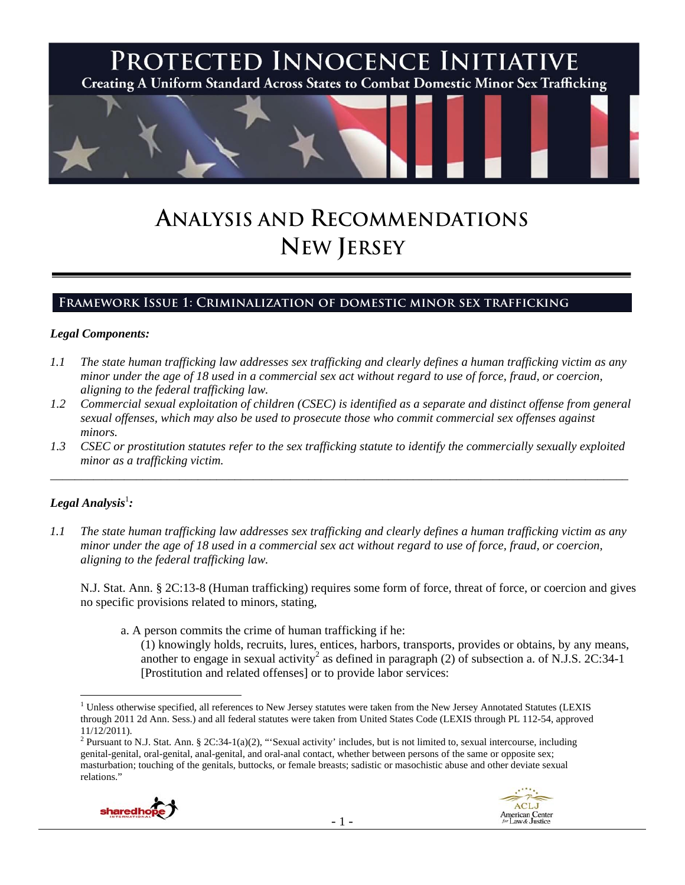

# **ANALYSIS AND RECOMMENDATIONS NEW JERSEY**

## **Framework Issue 1: Criminalization of domestic minor sex trafficking**

#### *Legal Components:*

- *1.1 The state human trafficking law addresses sex trafficking and clearly defines a human trafficking victim as any minor under the age of 18 used in a commercial sex act without regard to use of force, fraud, or coercion, aligning to the federal trafficking law.*
- *1.2 Commercial sexual exploitation of children (CSEC) is identified as a separate and distinct offense from general sexual offenses, which may also be used to prosecute those who commit commercial sex offenses against minors.*
- *1.3 CSEC or prostitution statutes refer to the sex trafficking statute to identify the commercially sexually exploited minor as a trafficking victim.*  \_\_\_\_\_\_\_\_\_\_\_\_\_\_\_\_\_\_\_\_\_\_\_\_\_\_\_\_\_\_\_\_\_\_\_\_\_\_\_\_\_\_\_\_\_\_\_\_\_\_\_\_\_\_\_\_\_\_\_\_\_\_\_\_\_\_\_\_\_\_\_\_\_\_\_\_\_\_\_\_\_\_\_\_\_\_\_\_\_\_\_\_\_\_

# $\bm{\mathit{Legal\, Analysis^{\text{!}}:}}$

*1.1 The state human trafficking law addresses sex trafficking and clearly defines a human trafficking victim as any minor under the age of 18 used in a commercial sex act without regard to use of force, fraud, or coercion, aligning to the federal trafficking law.* 

N.J. Stat. Ann. § 2C:13-8 (Human trafficking) requires some form of force, threat of force, or coercion and gives no specific provisions related to minors, stating,

a. A person commits the crime of human trafficking if he:

(1) knowingly holds, recruits, lures, entices, harbors, transports, provides or obtains, by any means, another to engage in sexual activity<sup>2</sup> as defined in paragraph (2) of subsection a. of N.J.S. 2C:34-1 [Prostitution and related offenses] or to provide labor services:

<sup>&</sup>lt;sup>2</sup> Pursuant to N.J. Stat. Ann. § 2C:34-1(a)(2), "Sexual activity' includes, but is not limited to, sexual intercourse, including genital-genital, oral-genital, anal-genital, and oral-anal contact, whether between persons of the same or opposite sex; masturbation; touching of the genitals, buttocks, or female breasts; sadistic or masochistic abuse and other deviate sexual relations."





 $\overline{a}$  $1$  Unless otherwise specified, all references to New Jersey statutes were taken from the New Jersey Annotated Statutes (LEXIS through 2011 2d Ann. Sess.) and all federal statutes were taken from United States Code (LEXIS through PL 112-54, approved 11/12/2011).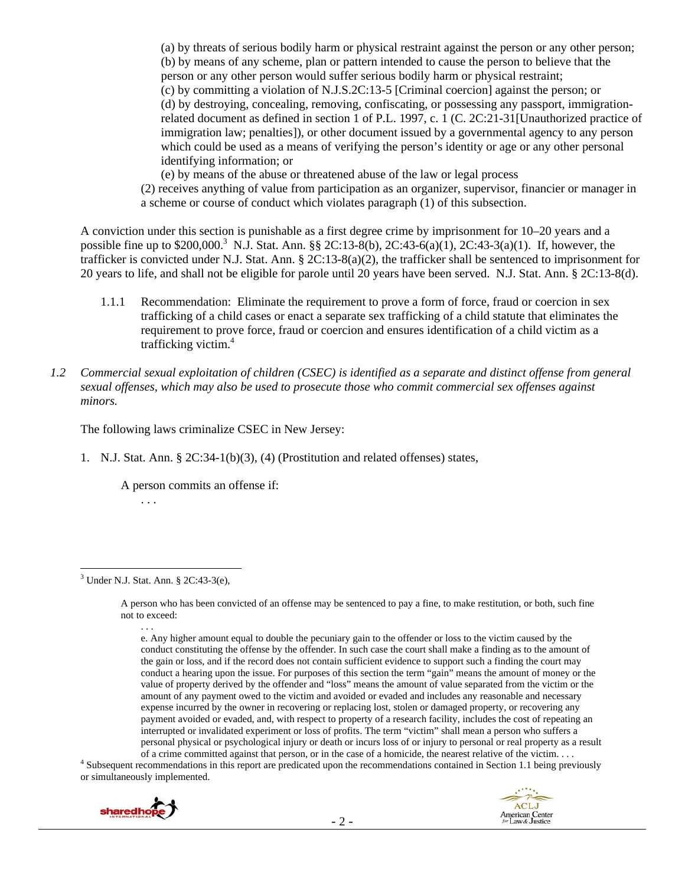(a) by threats of serious bodily harm or physical restraint against the person or any other person; (b) by means of any scheme, plan or pattern intended to cause the person to believe that the person or any other person would suffer serious bodily harm or physical restraint; (c) by committing a violation of N.J.S.2C:13-5 [Criminal coercion] against the person; or (d) by destroying, concealing, removing, confiscating, or possessing any passport, immigrationrelated document as defined in section 1 of P.L. 1997, c. 1 (C. 2C:21-31[Unauthorized practice of immigration law; penalties]), or other document issued by a governmental agency to any person which could be used as a means of verifying the person's identity or age or any other personal identifying information; or

(e) by means of the abuse or threatened abuse of the law or legal process

(2) receives anything of value from participation as an organizer, supervisor, financier or manager in a scheme or course of conduct which violates paragraph (1) of this subsection.

A conviction under this section is punishable as a first degree crime by imprisonment for 10–20 years and a possible fine up to \$200,000.<sup>3</sup> N.J. Stat. Ann. §§ 2C:13-8(b), 2C:43-6(a)(1), 2C:43-3(a)(1). If, however, the trafficker is convicted under N.J. Stat. Ann. § 2C:13-8(a)(2), the trafficker shall be sentenced to imprisonment for 20 years to life, and shall not be eligible for parole until 20 years have been served. N.J. Stat. Ann. § 2C:13-8(d).

- 1.1.1 Recommendation: Eliminate the requirement to prove a form of force, fraud or coercion in sex trafficking of a child cases or enact a separate sex trafficking of a child statute that eliminates the requirement to prove force, fraud or coercion and ensures identification of a child victim as a trafficking victim.4
- *1.2 Commercial sexual exploitation of children (CSEC) is identified as a separate and distinct offense from general sexual offenses, which may also be used to prosecute those who commit commercial sex offenses against minors.*

The following laws criminalize CSEC in New Jersey:

1. N.J. Stat. Ann. § 2C:34-1(b)(3), (4) (Prostitution and related offenses) states,

A person commits an offense if:

. . .

<sup>4</sup> Subsequent recommendations in this report are predicated upon the recommendations contained in Section 1.1 being previously or simultaneously implemented.





 $\overline{a}$ 3 Under N.J. Stat. Ann. § 2C:43-3(e),

A person who has been convicted of an offense may be sentenced to pay a fine, to make restitution, or both, such fine not to exceed:

<sup>. . .</sup>  e. Any higher amount equal to double the pecuniary gain to the offender or loss to the victim caused by the conduct constituting the offense by the offender. In such case the court shall make a finding as to the amount of the gain or loss, and if the record does not contain sufficient evidence to support such a finding the court may conduct a hearing upon the issue. For purposes of this section the term "gain" means the amount of money or the value of property derived by the offender and "loss" means the amount of value separated from the victim or the amount of any payment owed to the victim and avoided or evaded and includes any reasonable and necessary expense incurred by the owner in recovering or replacing lost, stolen or damaged property, or recovering any payment avoided or evaded, and, with respect to property of a research facility, includes the cost of repeating an interrupted or invalidated experiment or loss of profits. The term "victim" shall mean a person who suffers a personal physical or psychological injury or death or incurs loss of or injury to personal or real property as a result of a crime committed against that person, or in the case of a homicide, the nearest relative of the victim. . . . 4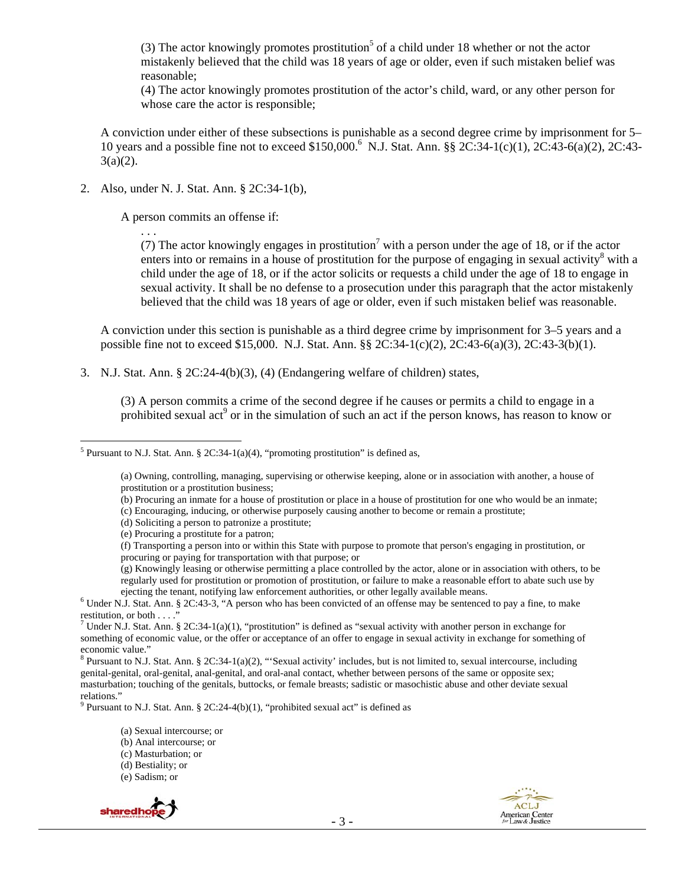(3) The actor knowingly promotes prostitution<sup>5</sup> of a child under 18 whether or not the actor mistakenly believed that the child was 18 years of age or older, even if such mistaken belief was reasonable;

(4) The actor knowingly promotes prostitution of the actor's child, ward, or any other person for whose care the actor is responsible;

A conviction under either of these subsections is punishable as a second degree crime by imprisonment for 5– 10 years and a possible fine not to exceed \$150,000.<sup>6</sup> N.J. Stat. Ann. §§ 2C:34-1(c)(1), 2C:43-6(a)(2), 2C:43- $3(a)(2)$ .

2. Also, under N. J. Stat. Ann. § 2C:34-1(b),

. . .

 $\overline{a}$ 

A person commits an offense if:

(7) The actor knowingly engages in prostitution<sup>7</sup> with a person under the age of 18, or if the actor enters into or remains in a house of prostitution for the purpose of engaging in sexual activity<sup>8</sup> with a child under the age of 18, or if the actor solicits or requests a child under the age of 18 to engage in sexual activity. It shall be no defense to a prosecution under this paragraph that the actor mistakenly believed that the child was 18 years of age or older, even if such mistaken belief was reasonable.

A conviction under this section is punishable as a third degree crime by imprisonment for 3–5 years and a possible fine not to exceed \$15,000. N.J. Stat. Ann. §§ 2C:34-1(c)(2), 2C:43-6(a)(3), 2C:43-3(b)(1).

3. N.J. Stat. Ann. § 2C:24-4(b)(3), (4) (Endangering welfare of children) states,

(3) A person commits a crime of the second degree if he causes or permits a child to engage in a prohibited sexual act<sup>9</sup> or in the simulation of such an act if the person knows, has reason to know or

(b) Procuring an inmate for a house of prostitution or place in a house of prostitution for one who would be an inmate;

- (e) Procuring a prostitute for a patron;
- (f) Transporting a person into or within this State with purpose to promote that person's engaging in prostitution, or procuring or paying for transportation with that purpose; or

(g) Knowingly leasing or otherwise permitting a place controlled by the actor, alone or in association with others, to be regularly used for prostitution or promotion of prostitution, or failure to make a reasonable effort to abate such use by ejecting the tenant, notifying law enforcement authorities, or other legally available means.

 Under N.J. Stat. Ann. § 2C:43-3, "A person who has been convicted of an offense may be sentenced to pay a fine, to make restitution, or both . . . ."

<sup>9</sup> Pursuant to N.J. Stat. Ann. § 2C:24-4(b)(1), "prohibited sexual act" is defined as

- (a) Sexual intercourse; or
- (b) Anal intercourse; or
- (c) Masturbation; or
- (d) Bestiality; or
- (e) Sadism; or





<sup>&</sup>lt;sup>5</sup> Pursuant to N.J. Stat. Ann. § 2C:34-1(a)(4), "promoting prostitution" is defined as,

<sup>(</sup>a) Owning, controlling, managing, supervising or otherwise keeping, alone or in association with another, a house of prostitution or a prostitution business;

<sup>(</sup>c) Encouraging, inducing, or otherwise purposely causing another to become or remain a prostitute;

<sup>(</sup>d) Soliciting a person to patronize a prostitute;

<sup>&</sup>lt;sup>7</sup> Under N.J. Stat. Ann. § 2C:34-1(a)(1), "prostitution" is defined as "sexual activity with another person in exchange for something of economic value, or the offer or acceptance of an offer to engage in sexual activity in exchange for something of economic value."

<sup>&</sup>lt;sup>8</sup> Pursuant to N.J. Stat. Ann. § 2C:34-1(a)(2), "Sexual activity' includes, but is not limited to, sexual intercourse, including genital-genital, oral-genital, anal-genital, and oral-anal contact, whether between persons of the same or opposite sex; masturbation; touching of the genitals, buttocks, or female breasts; sadistic or masochistic abuse and other deviate sexual relations."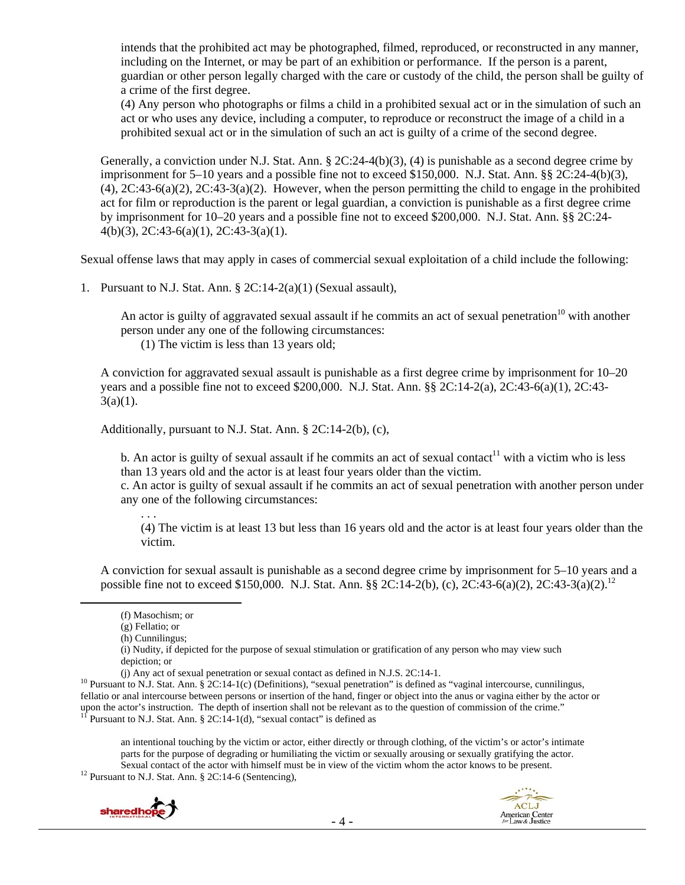intends that the prohibited act may be photographed, filmed, reproduced, or reconstructed in any manner, including on the Internet, or may be part of an exhibition or performance. If the person is a parent, guardian or other person legally charged with the care or custody of the child, the person shall be guilty of a crime of the first degree.

(4) Any person who photographs or films a child in a prohibited sexual act or in the simulation of such an act or who uses any device, including a computer, to reproduce or reconstruct the image of a child in a prohibited sexual act or in the simulation of such an act is guilty of a crime of the second degree.

Generally, a conviction under N.J. Stat. Ann. § 2C:24-4(b)(3), (4) is punishable as a second degree crime by imprisonment for 5–10 years and a possible fine not to exceed \$150,000. N.J. Stat. Ann. §§ 2C:24-4(b)(3),  $(4)$ ,  $2C:43-6(a)(2)$ ,  $2C:43-3(a)(2)$ . However, when the person permitting the child to engage in the prohibited act for film or reproduction is the parent or legal guardian, a conviction is punishable as a first degree crime by imprisonment for 10–20 years and a possible fine not to exceed \$200,000. N.J. Stat. Ann. §§ 2C:24- 4(b)(3), 2C:43-6(a)(1), 2C:43-3(a)(1).

Sexual offense laws that may apply in cases of commercial sexual exploitation of a child include the following:

1. Pursuant to N.J. Stat. Ann. § 2C:14-2(a)(1) (Sexual assault),

An actor is guilty of aggravated sexual assault if he commits an act of sexual penetration<sup>10</sup> with another person under any one of the following circumstances:

(1) The victim is less than 13 years old;

A conviction for aggravated sexual assault is punishable as a first degree crime by imprisonment for 10–20 years and a possible fine not to exceed \$200,000. N.J. Stat. Ann. §§ 2C:14-2(a), 2C:43-6(a)(1), 2C:43-  $3(a)(1)$ .

Additionally, pursuant to N.J. Stat. Ann. § 2C:14-2(b), (c),

b. An actor is guilty of sexual assault if he commits an act of sexual contact<sup>11</sup> with a victim who is less than 13 years old and the actor is at least four years older than the victim.

c. An actor is guilty of sexual assault if he commits an act of sexual penetration with another person under any one of the following circumstances:

. . .

(4) The victim is at least 13 but less than 16 years old and the actor is at least four years older than the victim.

A conviction for sexual assault is punishable as a second degree crime by imprisonment for 5–10 years and a possible fine not to exceed \$150,000. N.J. Stat. Ann. §§ 2C:14-2(b), (c), 2C:43-6(a)(2), 2C:43-3(a)(2).<sup>12</sup>

(i) Nudity, if depicted for the purpose of sexual stimulation or gratification of any person who may view such depiction; or<br>(i) Any act of sexual penetration or sexual contact as defined in N.J.S. 2C:14-1.

<sup>10</sup> Pursuant to N.J. Stat. Ann. § 2C:14-1(c) (Definitions), "sexual penetration" is defined as "vaginal intercourse, cunnilingus, fellatio or anal intercourse between persons or insertion of the hand, finger or object into the anus or vagina either by the actor or upon the actor's instruction. The depth of insertion shall not be relevant as to the question of commission of the crime."  $^{11}$  Pursuant to N.J. Stat. Ann. § 2C:14-1(d), "sexual contact" is defined as

an intentional touching by the victim or actor, either directly or through clothing, of the victim's or actor's intimate parts for the purpose of degrading or humiliating the victim or sexually arousing or sexually gratifying the actor. Sexual contact of the actor with himself must be in view of the victim whom the actor knows to be present. <sup>12</sup> Pursuant to N.J. Stat. Ann. § 2C:14-6 (Sentencing),





 <sup>(</sup>f) Masochism; or

<sup>(</sup>g) Fellatio; or

<sup>(</sup>h) Cunnilingus;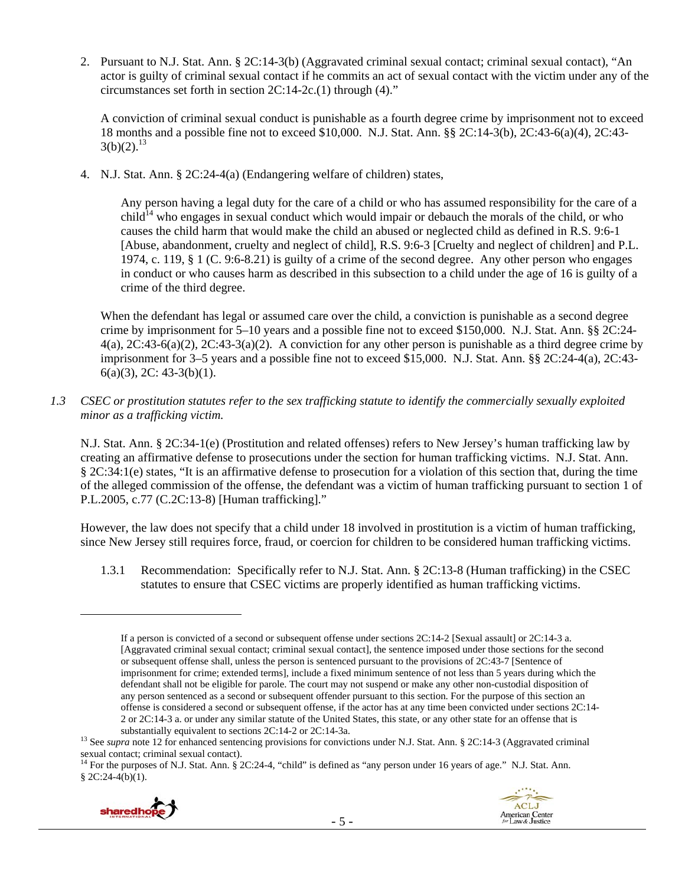2. Pursuant to N.J. Stat. Ann. § 2C:14-3(b) (Aggravated criminal sexual contact; criminal sexual contact), "An actor is guilty of criminal sexual contact if he commits an act of sexual contact with the victim under any of the circumstances set forth in section 2C:14-2c.(1) through (4)."

A conviction of criminal sexual conduct is punishable as a fourth degree crime by imprisonment not to exceed 18 months and a possible fine not to exceed \$10,000. N.J. Stat. Ann. §§ 2C:14-3(b), 2C:43-6(a)(4), 2C:43-  $3(b)(2).^{13}$ 

4. N.J. Stat. Ann. § 2C:24-4(a) (Endangering welfare of children) states,

Any person having a legal duty for the care of a child or who has assumed responsibility for the care of a  $child<sup>14</sup>$  who engages in sexual conduct which would impair or debauch the morals of the child, or who causes the child harm that would make the child an abused or neglected child as defined in R.S. 9:6-1 [Abuse, abandonment, cruelty and neglect of child], R.S. 9:6-3 [Cruelty and neglect of children] and P.L. 1974, c. 119, § 1 (C. 9:6-8.21) is guilty of a crime of the second degree. Any other person who engages in conduct or who causes harm as described in this subsection to a child under the age of 16 is guilty of a crime of the third degree.

When the defendant has legal or assumed care over the child, a conviction is punishable as a second degree crime by imprisonment for 5–10 years and a possible fine not to exceed \$150,000. N.J. Stat. Ann. §§ 2C:24-  $4(a)$ ,  $2C:43-6(a)(2)$ ,  $2C:43-3(a)(2)$ . A conviction for any other person is punishable as a third degree crime by imprisonment for 3–5 years and a possible fine not to exceed \$15,000. N.J. Stat. Ann. §§ 2C:24-4(a), 2C:43-  $6(a)(3)$ , 2C: 43-3(b)(1).

*1.3 CSEC or prostitution statutes refer to the sex trafficking statute to identify the commercially sexually exploited minor as a trafficking victim.* 

N.J. Stat. Ann. § 2C:34-1(e) (Prostitution and related offenses) refers to New Jersey's human trafficking law by creating an affirmative defense to prosecutions under the section for human trafficking victims. N.J. Stat. Ann. § 2C:34:1(e) states, "It is an affirmative defense to prosecution for a violation of this section that, during the time of the alleged commission of the offense, the defendant was a victim of human trafficking pursuant to section 1 of P.L.2005, c.77 (C.2C:13-8) [Human trafficking]."

However, the law does not specify that a child under 18 involved in prostitution is a victim of human trafficking, since New Jersey still requires force, fraud, or coercion for children to be considered human trafficking victims.

1.3.1 Recommendation: Specifically refer to N.J. Stat. Ann. § 2C:13-8 (Human trafficking) in the CSEC statutes to ensure that CSEC victims are properly identified as human trafficking victims.

 $$2C:24-4(b)(1).$ 



 $\overline{a}$ 



If a person is convicted of a second or subsequent offense under sections 2C:14-2 [Sexual assault] or 2C:14-3 a. [Aggravated criminal sexual contact; criminal sexual contact], the sentence imposed under those sections for the second or subsequent offense shall, unless the person is sentenced pursuant to the provisions of 2C:43-7 [Sentence of imprisonment for crime; extended terms], include a fixed minimum sentence of not less than 5 years during which the defendant shall not be eligible for parole. The court may not suspend or make any other non-custodial disposition of any person sentenced as a second or subsequent offender pursuant to this section. For the purpose of this section an offense is considered a second or subsequent offense, if the actor has at any time been convicted under sections 2C:14- 2 or 2C:14-3 a. or under any similar statute of the United States, this state, or any other state for an offense that is

substantially equivalent to sections 2C:14-2 or 2C:14-3a.<br><sup>13</sup> See *supra* note 12 for enhanced sentencing provisions for convictions under N.J. Stat. Ann. § 2C:14-3 (Aggravated criminal sexual contact; criminal sexual contact).<br><sup>14</sup> For the purposes of N.J. Stat. Ann. § 2C:24-4, "child" is defined as "any person under 16 years of age." N.J. Stat. Ann.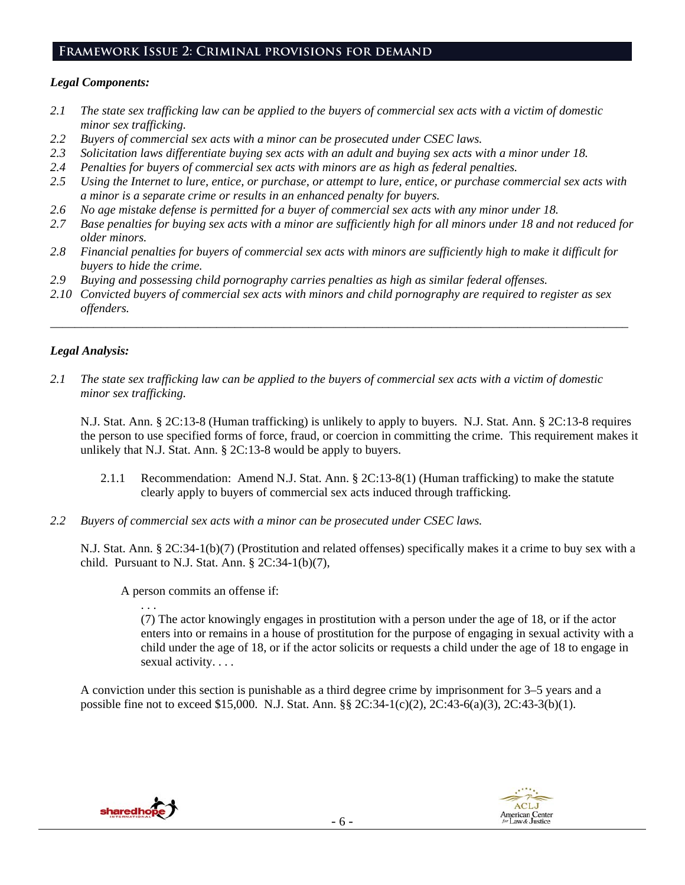# **Framework Issue 2: Criminal provisions for demand**

## *Legal Components:*

- *2.1 The state sex trafficking law can be applied to the buyers of commercial sex acts with a victim of domestic minor sex trafficking.*
- *2.2 Buyers of commercial sex acts with a minor can be prosecuted under CSEC laws.*
- *2.3 Solicitation laws differentiate buying sex acts with an adult and buying sex acts with a minor under 18.*
- *2.4 Penalties for buyers of commercial sex acts with minors are as high as federal penalties.*
- *2.5 Using the Internet to lure, entice, or purchase, or attempt to lure, entice, or purchase commercial sex acts with a minor is a separate crime or results in an enhanced penalty for buyers.*
- *2.6 No age mistake defense is permitted for a buyer of commercial sex acts with any minor under 18.*
- *2.7 Base penalties for buying sex acts with a minor are sufficiently high for all minors under 18 and not reduced for older minors.*
- *2.8 Financial penalties for buyers of commercial sex acts with minors are sufficiently high to make it difficult for buyers to hide the crime.*
- *2.9 Buying and possessing child pornography carries penalties as high as similar federal offenses.*
- *2.10 Convicted buyers of commercial sex acts with minors and child pornography are required to register as sex offenders.*

\_\_\_\_\_\_\_\_\_\_\_\_\_\_\_\_\_\_\_\_\_\_\_\_\_\_\_\_\_\_\_\_\_\_\_\_\_\_\_\_\_\_\_\_\_\_\_\_\_\_\_\_\_\_\_\_\_\_\_\_\_\_\_\_\_\_\_\_\_\_\_\_\_\_\_\_\_\_\_\_\_\_\_\_\_\_\_\_\_\_\_\_\_\_

# *Legal Analysis:*

*2.1 The state sex trafficking law can be applied to the buyers of commercial sex acts with a victim of domestic minor sex trafficking.* 

N.J. Stat. Ann. § 2C:13-8 (Human trafficking) is unlikely to apply to buyers. N.J. Stat. Ann. § 2C:13-8 requires the person to use specified forms of force, fraud, or coercion in committing the crime. This requirement makes it unlikely that N.J. Stat. Ann. § 2C:13-8 would be apply to buyers.

- 2.1.1 Recommendation: Amend N.J. Stat. Ann. § 2C:13-8(1) (Human trafficking) to make the statute clearly apply to buyers of commercial sex acts induced through trafficking.
- *2.2 Buyers of commercial sex acts with a minor can be prosecuted under CSEC laws.*

N.J. Stat. Ann. § 2C:34-1(b)(7) (Prostitution and related offenses) specifically makes it a crime to buy sex with a child. Pursuant to N.J. Stat. Ann. § 2C:34-1(b)(7),

A person commits an offense if:

. . .

(7) The actor knowingly engages in prostitution with a person under the age of 18, or if the actor enters into or remains in a house of prostitution for the purpose of engaging in sexual activity with a child under the age of 18, or if the actor solicits or requests a child under the age of 18 to engage in sexual activity. . . .

A conviction under this section is punishable as a third degree crime by imprisonment for 3–5 years and a possible fine not to exceed \$15,000. N.J. Stat. Ann. §§ 2C:34-1(c)(2), 2C:43-6(a)(3), 2C:43-3(b)(1).



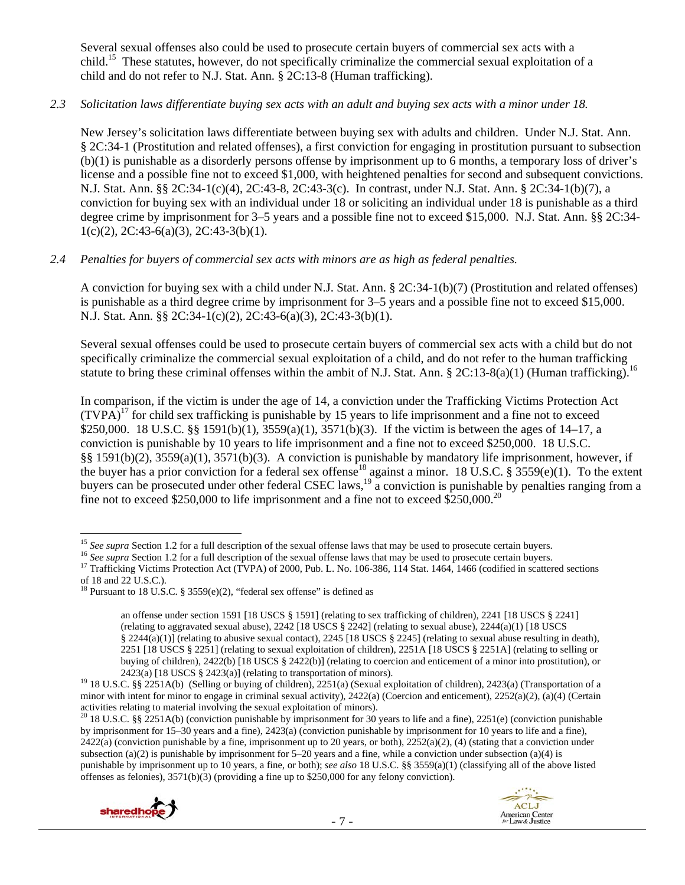Several sexual offenses also could be used to prosecute certain buyers of commercial sex acts with a child.<sup>15</sup> These statutes, however, do not specifically criminalize the commercial sexual exploitation of a child and do not refer to N.J. Stat. Ann. § 2C:13-8 (Human trafficking).

# *2.3 Solicitation laws differentiate buying sex acts with an adult and buying sex acts with a minor under 18.*

New Jersey's solicitation laws differentiate between buying sex with adults and children. Under N.J. Stat. Ann. § 2C:34-1 (Prostitution and related offenses), a first conviction for engaging in prostitution pursuant to subsection (b)(1) is punishable as a disorderly persons offense by imprisonment up to 6 months, a temporary loss of driver's license and a possible fine not to exceed \$1,000, with heightened penalties for second and subsequent convictions. N.J. Stat. Ann. §§ 2C:34-1(c)(4), 2C:43-8, 2C:43-3(c). In contrast, under N.J. Stat. Ann. § 2C:34-1(b)(7), a conviction for buying sex with an individual under 18 or soliciting an individual under 18 is punishable as a third degree crime by imprisonment for 3–5 years and a possible fine not to exceed \$15,000. N.J. Stat. Ann. §§ 2C:34-  $1(c)(2)$ ,  $2C:43-6(a)(3)$ ,  $2C:43-3(b)(1)$ .

# *2.4 Penalties for buyers of commercial sex acts with minors are as high as federal penalties.*

A conviction for buying sex with a child under N.J. Stat. Ann. § 2C:34-1(b)(7) (Prostitution and related offenses) is punishable as a third degree crime by imprisonment for 3–5 years and a possible fine not to exceed \$15,000. N.J. Stat. Ann. §§ 2C:34-1(c)(2), 2C:43-6(a)(3), 2C:43-3(b)(1).

Several sexual offenses could be used to prosecute certain buyers of commercial sex acts with a child but do not specifically criminalize the commercial sexual exploitation of a child, and do not refer to the human trafficking statute to bring these criminal offenses within the ambit of N.J. Stat. Ann. § 2C:13-8(a)(1) (Human trafficking).<sup>16</sup>

In comparison, if the victim is under the age of 14, a conviction under the Trafficking Victims Protection Act  $(TVPA)^{17}$  for child sex trafficking is punishable by 15 years to life imprisonment and a fine not to exceed \$250,000. 18 U.S.C. §§ 1591(b)(1), 3559(a)(1), 3571(b)(3). If the victim is between the ages of 14–17, a conviction is punishable by 10 years to life imprisonment and a fine not to exceed \$250,000. 18 U.S.C. §§ 1591(b)(2), 3559(a)(1), 3571(b)(3). A conviction is punishable by mandatory life imprisonment, however, if the buyer has a prior conviction for a federal sex offense<sup>18</sup> against a minor. 18 U.S.C. § 3559(e)(1). To the extent buyers can be prosecuted under other federal CSEC laws,<sup>19</sup> a conviction is punishable by penalties ranging from a fine not to exceed \$250,000 to life imprisonment and a fine not to exceed \$250,000.<sup>20</sup>

<sup>&</sup>lt;sup>20</sup> 18 U.S.C. §§ 2251A(b) (conviction punishable by imprisonment for 30 years to life and a fine), 2251(e) (conviction punishable by imprisonment for 15–30 years and a fine), 2423(a) (conviction punishable by imprisonment for 10 years to life and a fine),  $2422(a)$  (conviction punishable by a fine, imprisonment up to 20 years, or both),  $2252(a)(2)$ , (4) (stating that a conviction under subsection (a)(2) is punishable by imprisonment for  $5-20$  years and a fine, while a conviction under subsection (a)(4) is punishable by imprisonment up to 10 years, a fine, or both); *see also* 18 U.S.C. §§ 3559(a)(1) (classifying all of the above listed offenses as felonies), 3571(b)(3) (providing a fine up to \$250,000 for any felony conviction).





<sup>&</sup>lt;sup>15</sup> See supra Section 1.2 for a full description of the sexual offense laws that may be used to prosecute certain buyers.

<sup>&</sup>lt;sup>16</sup> See supra Section 1.2 for a full description of the sexual offense laws that may be used to prosecute certain buyers.<br><sup>17</sup> Trafficking Victims Protection Act (TVPA) of 2000, Pub. L. No. 106-386, 114 Stat. 1464, 1466 of 18 and 22 U.S.C.).

<sup>&</sup>lt;sup>18</sup> Pursuant to 18 U.S.C. § 3559(e)(2), "federal sex offense" is defined as

an offense under section 1591 [18 USCS § 1591] (relating to sex trafficking of children), 2241 [18 USCS § 2241] (relating to aggravated sexual abuse), 2242 [18 USCS § 2242] (relating to sexual abuse), 2244(a)(1) [18 USCS § 2244(a)(1)] (relating to abusive sexual contact), 2245 [18 USCS § 2245] (relating to sexual abuse resulting in death), 2251 [18 USCS § 2251] (relating to sexual exploitation of children), 2251A [18 USCS § 2251A] (relating to selling or buying of children), 2422(b) [18 USCS § 2422(b)] (relating to coercion and enticement of a minor into prostitution), or

<sup>&</sup>lt;sup>19</sup> 18 U.S.C. §§ 2251A(b) (Selling or buying of children), 2251(a) (Sexual exploitation of children), 2423(a) (Transportation of a minor with intent for minor to engage in criminal sexual activity), 2422(a) (Coercion and enticement), 2252(a)(2), (a)(4) (Certain activities relating to material involving the sexual exploitation of minors).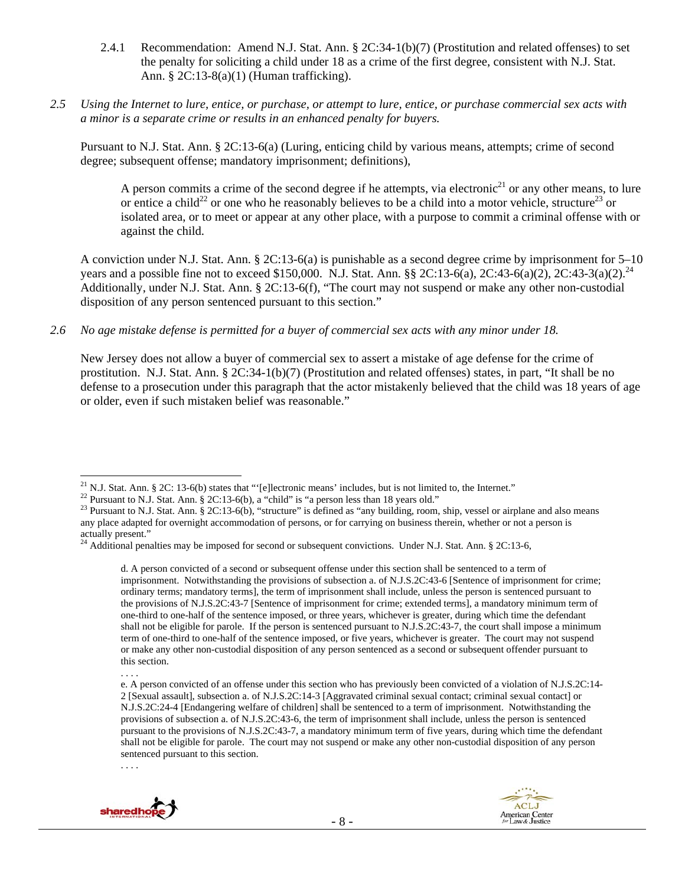- 2.4.1 Recommendation: Amend N.J. Stat. Ann. § 2C:34-1(b)(7) (Prostitution and related offenses) to set the penalty for soliciting a child under 18 as a crime of the first degree, consistent with N.J. Stat. Ann. § 2C:13-8(a)(1) (Human trafficking).
- *2.5 Using the Internet to lure, entice, or purchase, or attempt to lure, entice, or purchase commercial sex acts with a minor is a separate crime or results in an enhanced penalty for buyers.*

Pursuant to N.J. Stat. Ann. § 2C:13-6(a) (Luring, enticing child by various means, attempts; crime of second degree; subsequent offense; mandatory imprisonment; definitions),

A person commits a crime of the second degree if he attempts, via electronic<sup>21</sup> or any other means, to lure or entice a child<sup>22</sup> or one who he reasonably believes to be a child into a motor vehicle, structure<sup>23</sup> or isolated area, or to meet or appear at any other place, with a purpose to commit a criminal offense with or against the child.

A conviction under N.J. Stat. Ann. § 2C:13-6(a) is punishable as a second degree crime by imprisonment for 5–10 years and a possible fine not to exceed \$150,000. N.J. Stat. Ann. §§ 2C:13-6(a), 2C:43-6(a)(2), 2C:43-3(a)(2).<sup>24</sup> Additionally, under N.J. Stat. Ann. § 2C:13-6(f), "The court may not suspend or make any other non-custodial disposition of any person sentenced pursuant to this section."

*2.6 No age mistake defense is permitted for a buyer of commercial sex acts with any minor under 18.* 

New Jersey does not allow a buyer of commercial sex to assert a mistake of age defense for the crime of prostitution. N.J. Stat. Ann. § 2C:34-1(b)(7) (Prostitution and related offenses) states, in part, "It shall be no defense to a prosecution under this paragraph that the actor mistakenly believed that the child was 18 years of age or older, even if such mistaken belief was reasonable."

<sup>. . . .</sup> 



<sup>&</sup>lt;sup>21</sup> N.J. Stat. Ann. § 2C: 13-6(b) states that "'[e]lectronic means' includes, but is not limited to, the Internet."

<sup>&</sup>lt;sup>22</sup> Pursuant to N.J. Stat. Ann. § 2C:13-6(b), a "child" is "a person less than 18 years old."<br><sup>23</sup> Pursuant to N.J. Stat. Ann. § 2C:13-6(b), "structure" is defined as "any building, room, ship, vessel or airplane and also any place adapted for overnight accommodation of persons, or for carrying on business therein, whether or not a person is actually present."

<sup>&</sup>lt;sup>24</sup> Additional penalties may be imposed for second or subsequent convictions. Under N.J. Stat. Ann. § 2C:13-6,

d. A person convicted of a second or subsequent offense under this section shall be sentenced to a term of imprisonment. Notwithstanding the provisions of subsection a. of N.J.S.2C:43-6 [Sentence of imprisonment for crime; ordinary terms; mandatory terms], the term of imprisonment shall include, unless the person is sentenced pursuant to the provisions of N.J.S.2C:43-7 [Sentence of imprisonment for crime; extended terms], a mandatory minimum term of one-third to one-half of the sentence imposed, or three years, whichever is greater, during which time the defendant shall not be eligible for parole. If the person is sentenced pursuant to N.J.S.2C:43-7, the court shall impose a minimum term of one-third to one-half of the sentence imposed, or five years, whichever is greater. The court may not suspend or make any other non-custodial disposition of any person sentenced as a second or subsequent offender pursuant to this section.

<sup>. . . .</sup> 

e. A person convicted of an offense under this section who has previously been convicted of a violation of N.J.S.2C:14- 2 [Sexual assault], subsection a. of N.J.S.2C:14-3 [Aggravated criminal sexual contact; criminal sexual contact] or N.J.S.2C:24-4 [Endangering welfare of children] shall be sentenced to a term of imprisonment. Notwithstanding the provisions of subsection a. of N.J.S.2C:43-6, the term of imprisonment shall include, unless the person is sentenced pursuant to the provisions of N.J.S.2C:43-7, a mandatory minimum term of five years, during which time the defendant shall not be eligible for parole. The court may not suspend or make any other non-custodial disposition of any person sentenced pursuant to this section.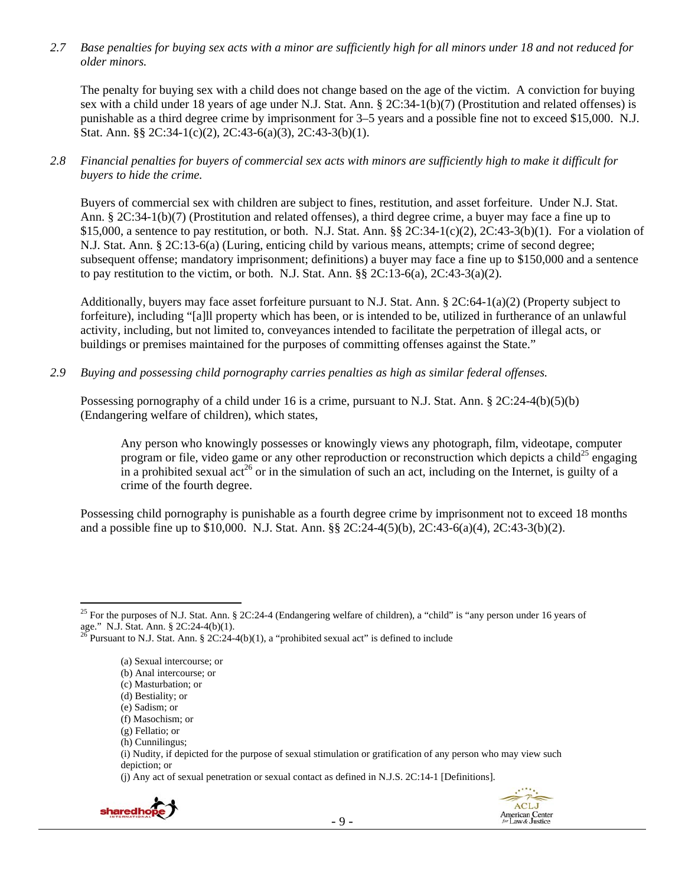*2.7 Base penalties for buying sex acts with a minor are sufficiently high for all minors under 18 and not reduced for older minors.* 

The penalty for buying sex with a child does not change based on the age of the victim. A conviction for buying sex with a child under 18 years of age under N.J. Stat. Ann. § 2C:34-1(b)(7) (Prostitution and related offenses) is punishable as a third degree crime by imprisonment for 3–5 years and a possible fine not to exceed \$15,000. N.J. Stat. Ann. §§ 2C:34-1(c)(2), 2C:43-6(a)(3), 2C:43-3(b)(1).

*2.8 Financial penalties for buyers of commercial sex acts with minors are sufficiently high to make it difficult for buyers to hide the crime.* 

Buyers of commercial sex with children are subject to fines, restitution, and asset forfeiture. Under N.J. Stat. Ann. § 2C:34-1(b)(7) (Prostitution and related offenses), a third degree crime, a buyer may face a fine up to \$15,000, a sentence to pay restitution, or both. N.J. Stat. Ann.  $\S$  2C:34-1(c)(2), 2C:43-3(b)(1). For a violation of N.J. Stat. Ann. § 2C:13-6(a) (Luring, enticing child by various means, attempts; crime of second degree; subsequent offense; mandatory imprisonment; definitions) a buyer may face a fine up to \$150,000 and a sentence to pay restitution to the victim, or both. N.J. Stat. Ann.  $\S § 2C:13-6(a), 2C:43-3(a)(2)$ .

Additionally, buyers may face asset forfeiture pursuant to N.J. Stat. Ann. § 2C:64-1(a)(2) (Property subject to forfeiture), including "[a]ll property which has been, or is intended to be, utilized in furtherance of an unlawful activity, including, but not limited to, conveyances intended to facilitate the perpetration of illegal acts, or buildings or premises maintained for the purposes of committing offenses against the State."

*2.9 Buying and possessing child pornography carries penalties as high as similar federal offenses.* 

Possessing pornography of a child under 16 is a crime, pursuant to N.J. Stat. Ann. § 2C:24-4(b)(5)(b) (Endangering welfare of children), which states,

Any person who knowingly possesses or knowingly views any photograph, film, videotape, computer program or file, video game or any other reproduction or reconstruction which depicts a child<sup>25</sup> engaging in a prohibited sexual  $\text{act}^{26}$  or in the simulation of such an act, including on the Internet, is guilty of a crime of the fourth degree.

Possessing child pornography is punishable as a fourth degree crime by imprisonment not to exceed 18 months and a possible fine up to \$10,000. N.J. Stat. Ann. §§ 2C:24-4(5)(b), 2C:43-6(a)(4), 2C:43-3(b)(2).

 $\overline{a}$ 

(f) Masochism; or

<sup>(</sup>j) Any act of sexual penetration or sexual contact as defined in N.J.S. 2C:14-1 [Definitions].



<sup>&</sup>lt;sup>25</sup> For the purposes of N.J. Stat. Ann. § 2C:24-4 (Endangering welfare of children), a "child" is "any person under 16 years of age." N.J. Stat. Ann. § 2C:24-4(b)(1).<br><sup>26</sup> Pursuant to N.J. Stat. Ann. § 2C:24-4(b)(1), a "prohibited sexual act" is defined to include

<sup>(</sup>a) Sexual intercourse; or

<sup>(</sup>b) Anal intercourse; or

<sup>(</sup>c) Masturbation; or

<sup>(</sup>d) Bestiality; or

<sup>(</sup>e) Sadism; or

<sup>(</sup>g) Fellatio; or (h) Cunnilingus;

<sup>(</sup>i) Nudity, if depicted for the purpose of sexual stimulation or gratification of any person who may view such depiction; or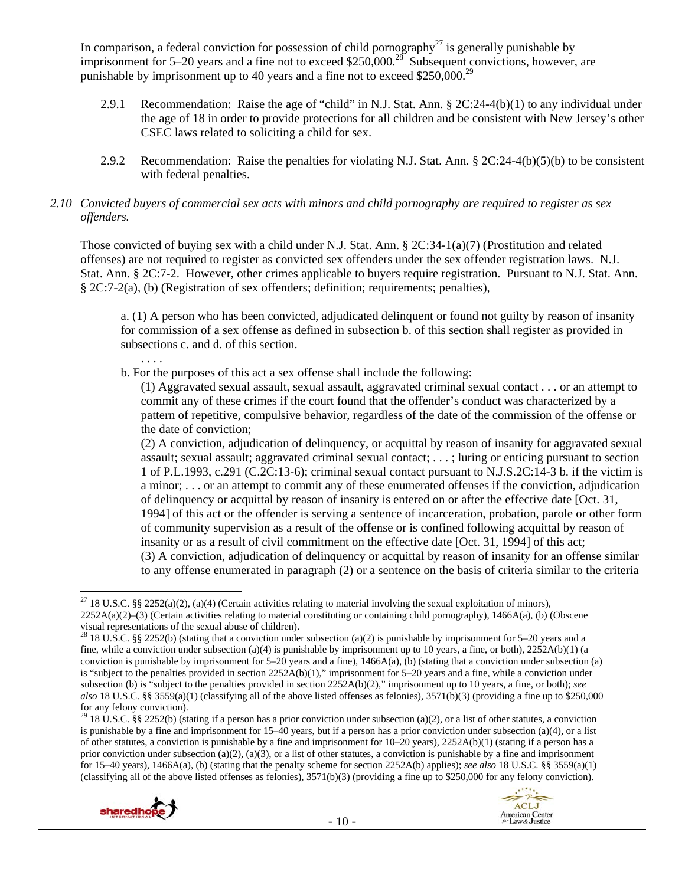In comparison, a federal conviction for possession of child pornography<sup>27</sup> is generally punishable by imprisonment for  $5-20$  years and a fine not to exceed \$250,000.<sup>28</sup> Subsequent convictions, however, are punishable by imprisonment up to 40 years and a fine not to exceed  $$250,000.<sup>29</sup>$ 

- 2.9.1 Recommendation: Raise the age of "child" in N.J. Stat. Ann. § 2C:24-4(b)(1) to any individual under the age of 18 in order to provide protections for all children and be consistent with New Jersey's other CSEC laws related to soliciting a child for sex.
- 2.9.2 Recommendation: Raise the penalties for violating N.J. Stat. Ann. § 2C:24-4(b)(5)(b) to be consistent with federal penalties.

## *2.10 Convicted buyers of commercial sex acts with minors and child pornography are required to register as sex offenders.*

Those convicted of buying sex with a child under N.J. Stat. Ann. § 2C:34-1(a)(7) (Prostitution and related offenses) are not required to register as convicted sex offenders under the sex offender registration laws. N.J. Stat. Ann. § 2C:7-2. However, other crimes applicable to buyers require registration. Pursuant to N.J. Stat. Ann. § 2C:7-2(a), (b) (Registration of sex offenders; definition; requirements; penalties),

a. (1) A person who has been convicted, adjudicated delinquent or found not guilty by reason of insanity for commission of a sex offense as defined in subsection b. of this section shall register as provided in subsections c. and d. of this section.

b. For the purposes of this act a sex offense shall include the following:

(1) Aggravated sexual assault, sexual assault, aggravated criminal sexual contact . . . or an attempt to commit any of these crimes if the court found that the offender's conduct was characterized by a pattern of repetitive, compulsive behavior, regardless of the date of the commission of the offense or the date of conviction;

(2) A conviction, adjudication of delinquency, or acquittal by reason of insanity for aggravated sexual assault; sexual assault; aggravated criminal sexual contact; . . . ; luring or enticing pursuant to section 1 of P.L.1993, c.291 (C.2C:13-6); criminal sexual contact pursuant to N.J.S.2C:14-3 b. if the victim is a minor; . . . or an attempt to commit any of these enumerated offenses if the conviction, adjudication of delinquency or acquittal by reason of insanity is entered on or after the effective date [Oct. 31, 1994] of this act or the offender is serving a sentence of incarceration, probation, parole or other form of community supervision as a result of the offense or is confined following acquittal by reason of insanity or as a result of civil commitment on the effective date [Oct. 31, 1994] of this act; (3) A conviction, adjudication of delinquency or acquittal by reason of insanity for an offense similar to any offense enumerated in paragraph (2) or a sentence on the basis of criteria similar to the criteria

<sup>&</sup>lt;sup>29</sup> 18 U.S.C. §§ 2252(b) (stating if a person has a prior conviction under subsection (a)(2), or a list of other statutes, a conviction is punishable by a fine and imprisonment for 15–40 years, but if a person has a prior conviction under subsection (a)(4), or a list of other statutes, a conviction is punishable by a fine and imprisonment for 10–20 years), 2252A(b)(1) (stating if a person has a prior conviction under subsection (a)(2), (a)(3), or a list of other statutes, a conviction is punishable by a fine and imprisonment for 15–40 years), 1466A(a), (b) (stating that the penalty scheme for section 2252A(b) applies); *see also* 18 U.S.C. §§ 3559(a)(1) (classifying all of the above listed offenses as felonies),  $3571(b)(3)$  (providing a fine up to \$250,000 for any felony conviction).



 $\overline{a}$ 

. . . .

<sup>&</sup>lt;sup>27</sup> 18 U.S.C. §§ 2252(a)(2), (a)(4) (Certain activities relating to material involving the sexual exploitation of minors), 2252A(a)(2)–(3) (Certain activities relating to material constituting or containing child pornography), 1466A(a), (b) (Obscene visual representations of the sexual abuse of children).

<sup>&</sup>lt;sup>28</sup> 18 U.S.C. §§ 2252(b) (stating that a conviction under subsection (a)(2) is punishable by imprisonment for 5–20 years and a fine, while a conviction under subsection (a)(4) is punishable by imprisonment up to 10 years, a fine, or both),  $2252A(b)(1)$  (a conviction is punishable by imprisonment for  $5-20$  years and a fine),  $1466A(a)$ , (b) (stating that a conviction under subsection (a) is "subject to the penalties provided in section 2252A(b)(1)," imprisonment for 5–20 years and a fine, while a conviction under subsection (b) is "subject to the penalties provided in section 2252A(b)(2)," imprisonment up to 10 years, a fine, or both); *see also* 18 U.S.C. §§ 3559(a)(1) (classifying all of the above listed offenses as felonies), 3571(b)(3) (providing a fine up to \$250,000 for any felony conviction).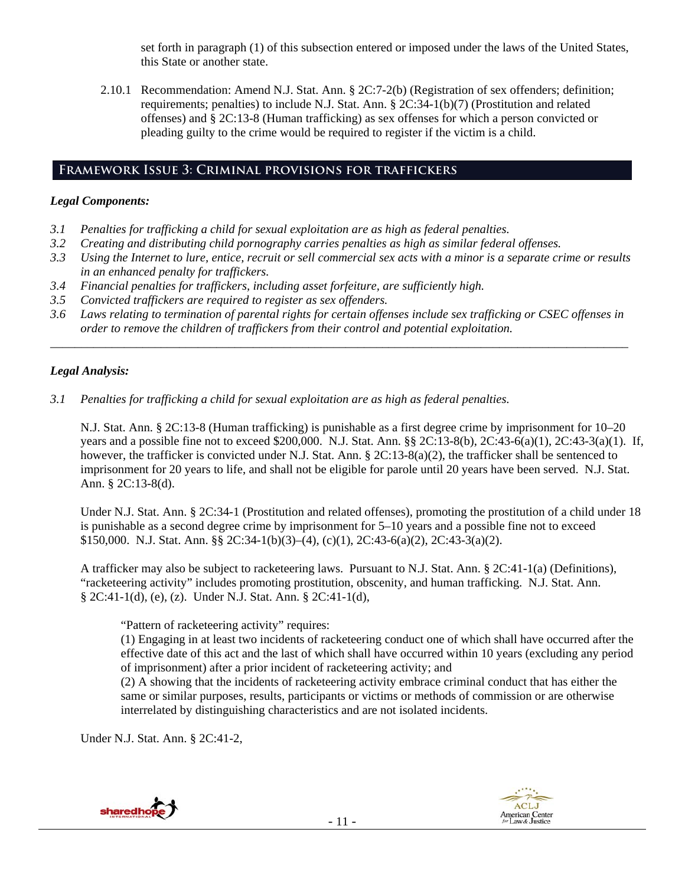set forth in paragraph (1) of this subsection entered or imposed under the laws of the United States, this State or another state.

2.10.1 Recommendation: Amend N.J. Stat. Ann. § 2C:7-2(b) (Registration of sex offenders; definition; requirements; penalties) to include N.J. Stat. Ann. § 2C:34-1(b)(7) (Prostitution and related offenses) and § 2C:13-8 (Human trafficking) as sex offenses for which a person convicted or pleading guilty to the crime would be required to register if the victim is a child.

# **Framework Issue 3: Criminal provisions for traffickers**

# *Legal Components:*

- *3.1 Penalties for trafficking a child for sexual exploitation are as high as federal penalties.*
- *3.2 Creating and distributing child pornography carries penalties as high as similar federal offenses.*
- *3.3 Using the Internet to lure, entice, recruit or sell commercial sex acts with a minor is a separate crime or results in an enhanced penalty for traffickers.*
- *3.4 Financial penalties for traffickers, including asset forfeiture, are sufficiently high.*
- *3.5 Convicted traffickers are required to register as sex offenders.*
- *3.6 Laws relating to termination of parental rights for certain offenses include sex trafficking or CSEC offenses in order to remove the children of traffickers from their control and potential exploitation.*

*\_\_\_\_\_\_\_\_\_\_\_\_\_\_\_\_\_\_\_\_\_\_\_\_\_\_\_\_\_\_\_\_\_\_\_\_\_\_\_\_\_\_\_\_\_\_\_\_\_\_\_\_\_\_\_\_\_\_\_\_\_\_\_\_\_\_\_\_\_\_\_\_\_\_\_\_\_\_\_\_\_\_\_\_\_\_\_\_\_\_\_\_\_\_* 

# *Legal Analysis:*

*3.1 Penalties for trafficking a child for sexual exploitation are as high as federal penalties.* 

N.J. Stat. Ann. § 2C:13-8 (Human trafficking) is punishable as a first degree crime by imprisonment for 10–20 years and a possible fine not to exceed \$200,000. N.J. Stat. Ann. §§ 2C:13-8(b), 2C:43-6(a)(1), 2C:43-3(a)(1). If, however, the trafficker is convicted under N.J. Stat. Ann. § 2C:13-8(a)(2), the trafficker shall be sentenced to imprisonment for 20 years to life, and shall not be eligible for parole until 20 years have been served. N.J. Stat. Ann. § 2C:13-8(d).

Under N.J. Stat. Ann. § 2C:34-1 (Prostitution and related offenses), promoting the prostitution of a child under 18 is punishable as a second degree crime by imprisonment for 5–10 years and a possible fine not to exceed \$150,000. N.J. Stat. Ann. §§ 2C:34-1(b)(3)–(4), (c)(1), 2C:43-6(a)(2), 2C:43-3(a)(2).

A trafficker may also be subject to racketeering laws. Pursuant to N.J. Stat. Ann. § 2C:41-1(a) (Definitions), "racketeering activity" includes promoting prostitution, obscenity, and human trafficking. N.J. Stat. Ann. § 2C:41-1(d), (e), (z). Under N.J. Stat. Ann. § 2C:41-1(d),

"Pattern of racketeering activity" requires:

(1) Engaging in at least two incidents of racketeering conduct one of which shall have occurred after the effective date of this act and the last of which shall have occurred within 10 years (excluding any period of imprisonment) after a prior incident of racketeering activity; and

(2) A showing that the incidents of racketeering activity embrace criminal conduct that has either the same or similar purposes, results, participants or victims or methods of commission or are otherwise interrelated by distinguishing characteristics and are not isolated incidents.

Under N.J. Stat. Ann. § 2C:41-2,



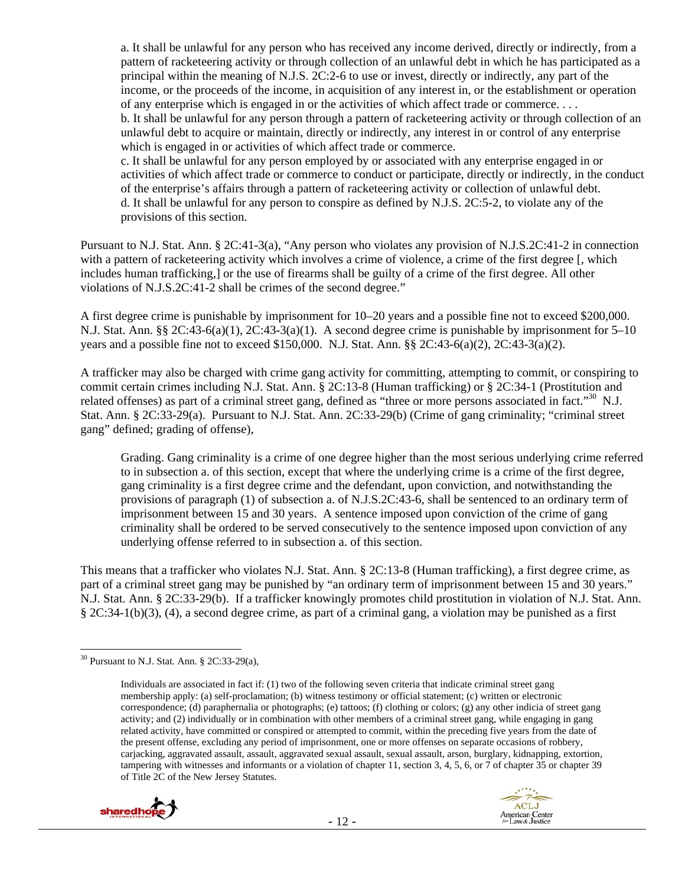a. It shall be unlawful for any person who has received any income derived, directly or indirectly, from a pattern of racketeering activity or through collection of an unlawful debt in which he has participated as a principal within the meaning of N.J.S. 2C:2-6 to use or invest, directly or indirectly, any part of the income, or the proceeds of the income, in acquisition of any interest in, or the establishment or operation of any enterprise which is engaged in or the activities of which affect trade or commerce. . . . b. It shall be unlawful for any person through a pattern of racketeering activity or through collection of an unlawful debt to acquire or maintain, directly or indirectly, any interest in or control of any enterprise which is engaged in or activities of which affect trade or commerce. c. It shall be unlawful for any person employed by or associated with any enterprise engaged in or

activities of which affect trade or commerce to conduct or participate, directly or indirectly, in the conduct of the enterprise's affairs through a pattern of racketeering activity or collection of unlawful debt. d. It shall be unlawful for any person to conspire as defined by N.J.S. 2C:5-2, to violate any of the provisions of this section.

Pursuant to N.J. Stat. Ann. § 2C:41-3(a), "Any person who violates any provision of N.J.S.2C:41-2 in connection with a pattern of racketeering activity which involves a crime of violence, a crime of the first degree [, which includes human trafficking,] or the use of firearms shall be guilty of a crime of the first degree. All other violations of N.J.S.2C:41-2 shall be crimes of the second degree."

A first degree crime is punishable by imprisonment for 10–20 years and a possible fine not to exceed \$200,000. N.J. Stat. Ann. §§ 2C:43-6(a)(1), 2C:43-3(a)(1). A second degree crime is punishable by imprisonment for 5–10 years and a possible fine not to exceed \$150,000. N.J. Stat. Ann. §§ 2C:43-6(a)(2), 2C:43-3(a)(2).

A trafficker may also be charged with crime gang activity for committing, attempting to commit, or conspiring to commit certain crimes including N.J. Stat. Ann. § 2C:13-8 (Human trafficking) or § 2C:34-1 (Prostitution and related offenses) as part of a criminal street gang, defined as "three or more persons associated in fact."<sup>30</sup> N.J. Stat. Ann. § 2C:33-29(a). Pursuant to N.J. Stat. Ann. 2C:33-29(b) (Crime of gang criminality; "criminal street gang" defined; grading of offense),

Grading. Gang criminality is a crime of one degree higher than the most serious underlying crime referred to in subsection a. of this section, except that where the underlying crime is a crime of the first degree, gang criminality is a first degree crime and the defendant, upon conviction, and notwithstanding the provisions of paragraph (1) of subsection a. of N.J.S.2C:43-6, shall be sentenced to an ordinary term of imprisonment between 15 and 30 years. A sentence imposed upon conviction of the crime of gang criminality shall be ordered to be served consecutively to the sentence imposed upon conviction of any underlying offense referred to in subsection a. of this section.

This means that a trafficker who violates N.J. Stat. Ann. § 2C:13-8 (Human trafficking), a first degree crime, as part of a criminal street gang may be punished by "an ordinary term of imprisonment between 15 and 30 years." N.J. Stat. Ann. § 2C:33-29(b). If a trafficker knowingly promotes child prostitution in violation of N.J. Stat. Ann. § 2C:34-1(b)(3), (4), a second degree crime, as part of a criminal gang, a violation may be punished as a first

Individuals are associated in fact if: (1) two of the following seven criteria that indicate criminal street gang membership apply: (a) self-proclamation; (b) witness testimony or official statement; (c) written or electronic correspondence; (d) paraphernalia or photographs; (e) tattoos; (f) clothing or colors; (g) any other indicia of street gang activity; and (2) individually or in combination with other members of a criminal street gang, while engaging in gang related activity, have committed or conspired or attempted to commit, within the preceding five years from the date of the present offense, excluding any period of imprisonment, one or more offenses on separate occasions of robbery, carjacking, aggravated assault, assault, aggravated sexual assault, sexual assault, arson, burglary, kidnapping, extortion, tampering with witnesses and informants or a violation of chapter 11, section 3, 4, 5, 6, or 7 of chapter 35 or chapter 39 of Title 2C of the New Jersey Statutes.



 $\overline{a}$ 



 $30$  Pursuant to N.J. Stat. Ann. § 2C:33-29(a),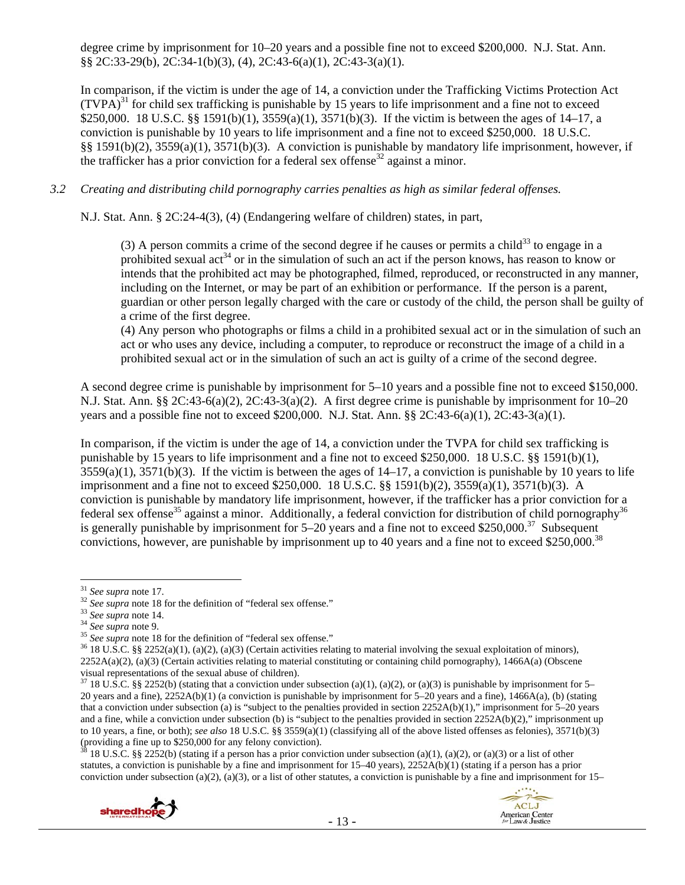degree crime by imprisonment for 10–20 years and a possible fine not to exceed \$200,000. N.J. Stat. Ann. §§ 2C:33-29(b), 2C:34-1(b)(3), (4), 2C:43-6(a)(1), 2C:43-3(a)(1).

In comparison, if the victim is under the age of 14, a conviction under the Trafficking Victims Protection Act  $(TVPA)^{31}$  for child sex trafficking is punishable by 15 years to life imprisonment and a fine not to exceed \$250,000. 18 U.S.C. §§ 1591(b)(1), 3559(a)(1), 3571(b)(3). If the victim is between the ages of 14–17, a conviction is punishable by 10 years to life imprisonment and a fine not to exceed \$250,000. 18 U.S.C. §§ 1591(b)(2), 3559(a)(1), 3571(b)(3). A conviction is punishable by mandatory life imprisonment, however, if the trafficker has a prior conviction for a federal sex offense<sup>32</sup> against a minor.

## *3.2 Creating and distributing child pornography carries penalties as high as similar federal offenses.*

N.J. Stat. Ann. § 2C:24-4(3), (4) (Endangering welfare of children) states, in part,

(3) A person commits a crime of the second degree if he causes or permits a child<sup>33</sup> to engage in a prohibited sexual act<sup>34</sup> or in the simulation of such an act if the person knows, has reason to know or intends that the prohibited act may be photographed, filmed, reproduced, or reconstructed in any manner, including on the Internet, or may be part of an exhibition or performance. If the person is a parent, guardian or other person legally charged with the care or custody of the child, the person shall be guilty of a crime of the first degree.

(4) Any person who photographs or films a child in a prohibited sexual act or in the simulation of such an act or who uses any device, including a computer, to reproduce or reconstruct the image of a child in a prohibited sexual act or in the simulation of such an act is guilty of a crime of the second degree.

A second degree crime is punishable by imprisonment for 5–10 years and a possible fine not to exceed \$150,000. N.J. Stat. Ann. §§ 2C:43-6(a)(2), 2C:43-3(a)(2). A first degree crime is punishable by imprisonment for 10–20 years and a possible fine not to exceed \$200,000. N.J. Stat. Ann. §§ 2C:43-6(a)(1), 2C:43-3(a)(1).

In comparison, if the victim is under the age of 14, a conviction under the TVPA for child sex trafficking is punishable by 15 years to life imprisonment and a fine not to exceed \$250,000. 18 U.S.C. §§ 1591(b)(1),  $3559(a)(1)$ ,  $3571(b)(3)$ . If the victim is between the ages of  $14-17$ , a conviction is punishable by 10 years to life imprisonment and a fine not to exceed \$250,000. 18 U.S.C. §§ 1591(b)(2), 3559(a)(1), 3571(b)(3). A conviction is punishable by mandatory life imprisonment, however, if the trafficker has a prior conviction for a federal sex offense<sup>35</sup> against a minor. Additionally, a federal conviction for distribution of child pornography<sup>36</sup> is generally punishable by imprisonment for  $5-20$  years and a fine not to exceed \$250,000.<sup>37</sup> Subsequent convictions, however, are punishable by imprisonment up to 40 years and a fine not to exceed \$250,000.<sup>38</sup>

<sup>18</sup> U.S.C. §§ 2252(b) (stating if a person has a prior conviction under subsection (a)(1), (a)(2), or (a)(3) or a list of other statutes, a conviction is punishable by a fine and imprisonment for 15–40 years), 2252A(b)(1) (stating if a person has a prior conviction under subsection (a)(2), (a)(3), or a list of other statutes, a conviction is punishable by a fine and imprisonment for  $15-$ 





 $31$  See supra note 17.

<sup>&</sup>lt;sup>32</sup> See supra note 18 for the definition of "federal sex offense."<br><sup>33</sup> See supra note 14.<br><sup>34</sup> See supra note 9.<br><sup>35</sup> See supra note 18 for the definition of "federal sex offense."<br><sup>35</sup> 18 U.S.C. §§ 2252(a)(1), (a)(2),  $2252A(a)(2)$ , (a)(3) (Certain activities relating to material constituting or containing child pornography), 1466A(a) (Obscene visual representations of the sexual abuse of children).

<sup>&</sup>lt;sup>37</sup> 18 U.S.C. §§ 2252(b) (stating that a conviction under subsection (a)(1), (a)(2), or (a)(3) is punishable by imprisonment for 5– 20 years and a fine), 2252A(b)(1) (a conviction is punishable by imprisonment for 5–20 years and a fine), 1466A(a), (b) (stating that a conviction under subsection (a) is "subject to the penalties provided in section 2252A(b)(1)," imprisonment for 5–20 years and a fine, while a conviction under subsection (b) is "subject to the penalties provided in section 2252A(b)(2)," imprisonment up to 10 years, a fine, or both); *see also* 18 U.S.C. §§ 3559(a)(1) (classifying all of the above listed offenses as felonies), 3571(b)(3) (providing a fine up to \$250,000 for any felony conviction).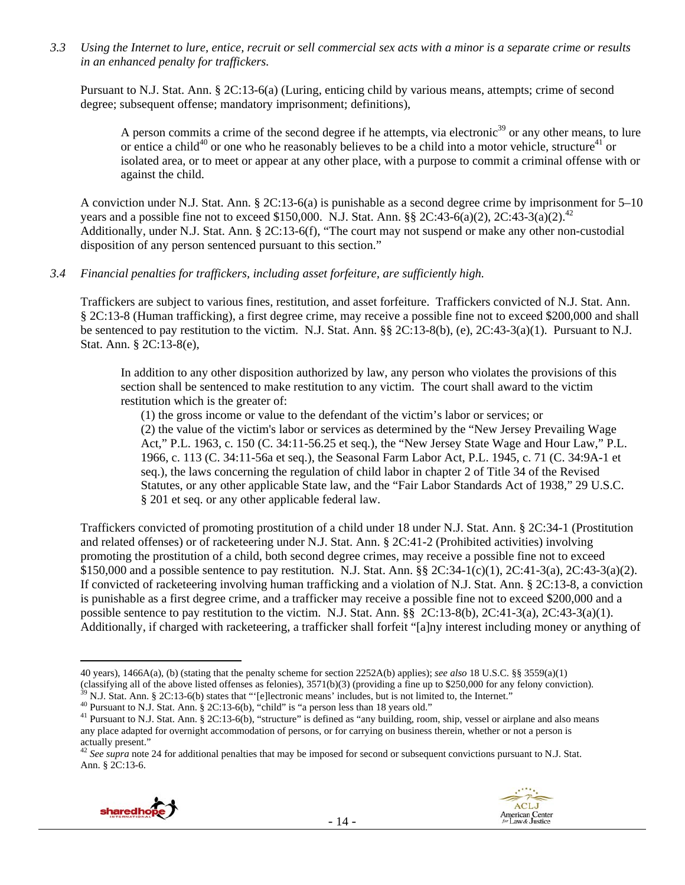*3.3 Using the Internet to lure, entice, recruit or sell commercial sex acts with a minor is a separate crime or results in an enhanced penalty for traffickers.* 

Pursuant to N.J. Stat. Ann. § 2C:13-6(a) (Luring, enticing child by various means, attempts; crime of second degree; subsequent offense; mandatory imprisonment; definitions),

A person commits a crime of the second degree if he attempts, via electronic<sup>39</sup> or any other means, to lure or entice a child<sup>40</sup> or one who he reasonably believes to be a child into a motor vehicle, structure<sup>41</sup> or isolated area, or to meet or appear at any other place, with a purpose to commit a criminal offense with or against the child.

A conviction under N.J. Stat. Ann. § 2C:13-6(a) is punishable as a second degree crime by imprisonment for 5–10 years and a possible fine not to exceed \$150,000. N.J. Stat. Ann. §§ 2C:43-6(a)(2), 2C:43-3(a)(2).<sup>42</sup> Additionally, under N.J. Stat. Ann. § 2C:13-6(f), "The court may not suspend or make any other non-custodial disposition of any person sentenced pursuant to this section."

#### *3.4 Financial penalties for traffickers, including asset forfeiture, are sufficiently high.*

Traffickers are subject to various fines, restitution, and asset forfeiture. Traffickers convicted of N.J. Stat. Ann. § 2C:13-8 (Human trafficking), a first degree crime, may receive a possible fine not to exceed \$200,000 and shall be sentenced to pay restitution to the victim. N.J. Stat. Ann. §§ 2C:13-8(b), (e), 2C:43-3(a)(1). Pursuant to N.J. Stat. Ann. § 2C:13-8(e),

In addition to any other disposition authorized by law, any person who violates the provisions of this section shall be sentenced to make restitution to any victim. The court shall award to the victim restitution which is the greater of:

(1) the gross income or value to the defendant of the victim's labor or services; or (2) the value of the victim's labor or services as determined by the "New Jersey Prevailing Wage Act," P.L. 1963, c. 150 (C. 34:11-56.25 et seq.), the "New Jersey State Wage and Hour Law," P.L. 1966, c. 113 (C. 34:11-56a et seq.), the Seasonal Farm Labor Act, P.L. 1945, c. 71 (C. 34:9A-1 et seq.), the laws concerning the regulation of child labor in chapter 2 of Title 34 of the Revised Statutes, or any other applicable State law, and the "Fair Labor Standards Act of 1938," 29 U.S.C. § 201 et seq. or any other applicable federal law.

Traffickers convicted of promoting prostitution of a child under 18 under N.J. Stat. Ann. § 2C:34-1 (Prostitution and related offenses) or of racketeering under N.J. Stat. Ann. § 2C:41-2 (Prohibited activities) involving promoting the prostitution of a child, both second degree crimes, may receive a possible fine not to exceed \$150,000 and a possible sentence to pay restitution. N.J. Stat. Ann. §§ 2C:34-1(c)(1), 2C:41-3(a), 2C:43-3(a)(2). If convicted of racketeering involving human trafficking and a violation of N.J. Stat. Ann. § 2C:13-8, a conviction is punishable as a first degree crime, and a trafficker may receive a possible fine not to exceed \$200,000 and a possible sentence to pay restitution to the victim. N.J. Stat. Ann. §§ 2C:13-8(b), 2C:41-3(a), 2C:43-3(a)(1). Additionally, if charged with racketeering, a trafficker shall forfeit "[a]ny interest including money or anything of

<sup>42</sup> *See supra* note 24 for additional penalties that may be imposed for second or subsequent convictions pursuant to N.J. Stat. Ann. § 2C:13-6.



 $\overline{a}$ 

<sup>40</sup> years), 1466A(a), (b) (stating that the penalty scheme for section 2252A(b) applies); *see also* 18 U.S.C. §§ 3559(a)(1)

<sup>&</sup>lt;sup>39</sup> N.J. Stat. Ann. § 2C:13-6(b) states that ""[e]lectronic means' includes, but is not limited to, the Internet."<br><sup>40</sup> Pursuant to N.J. Stat. Ann. § 2C:13-6(b), "child" is "a person less than 18 years old."<br><sup>41</sup> Pursuan

any place adapted for overnight accommodation of persons, or for carrying on business therein, whether or not a person is actually present."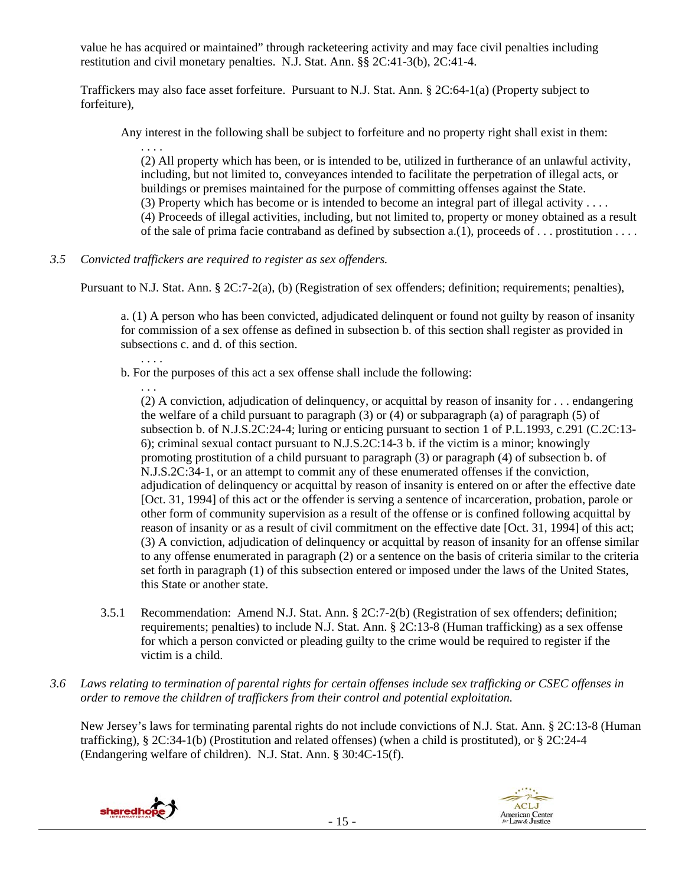value he has acquired or maintained" through racketeering activity and may face civil penalties including restitution and civil monetary penalties. N.J. Stat. Ann. §§ 2C:41-3(b), 2C:41-4.

Traffickers may also face asset forfeiture. Pursuant to N.J. Stat. Ann. § 2C:64-1(a) (Property subject to forfeiture),

Any interest in the following shall be subject to forfeiture and no property right shall exist in them:

. . . . (2) All property which has been, or is intended to be, utilized in furtherance of an unlawful activity, including, but not limited to, conveyances intended to facilitate the perpetration of illegal acts, or buildings or premises maintained for the purpose of committing offenses against the State. (3) Property which has become or is intended to become an integral part of illegal activity . . . . (4) Proceeds of illegal activities, including, but not limited to, property or money obtained as a result of the sale of prima facie contraband as defined by subsection a.(1), proceeds of . . . prostitution . . . .

*3.5 Convicted traffickers are required to register as sex offenders.* 

Pursuant to N.J. Stat. Ann. § 2C:7-2(a), (b) (Registration of sex offenders; definition; requirements; penalties),

a. (1) A person who has been convicted, adjudicated delinquent or found not guilty by reason of insanity for commission of a sex offense as defined in subsection b. of this section shall register as provided in subsections c. and d. of this section.

. . . . b. For the purposes of this act a sex offense shall include the following:

. . . (2) A conviction, adjudication of delinquency, or acquittal by reason of insanity for . . . endangering the welfare of a child pursuant to paragraph (3) or (4) or subparagraph (a) of paragraph (5) of subsection b. of N.J.S.2C:24-4; luring or enticing pursuant to section 1 of P.L.1993, c.291 (C.2C:13- 6); criminal sexual contact pursuant to N.J.S.2C:14-3 b. if the victim is a minor; knowingly promoting prostitution of a child pursuant to paragraph (3) or paragraph (4) of subsection b. of N.J.S.2C:34-1, or an attempt to commit any of these enumerated offenses if the conviction, adjudication of delinquency or acquittal by reason of insanity is entered on or after the effective date [Oct. 31, 1994] of this act or the offender is serving a sentence of incarceration, probation, parole or other form of community supervision as a result of the offense or is confined following acquittal by reason of insanity or as a result of civil commitment on the effective date [Oct. 31, 1994] of this act; (3) A conviction, adjudication of delinquency or acquittal by reason of insanity for an offense similar to any offense enumerated in paragraph (2) or a sentence on the basis of criteria similar to the criteria set forth in paragraph (1) of this subsection entered or imposed under the laws of the United States, this State or another state.

- 3.5.1 Recommendation: Amend N.J. Stat. Ann. § 2C:7-2(b) (Registration of sex offenders; definition; requirements; penalties) to include N.J. Stat. Ann. § 2C:13-8 (Human trafficking) as a sex offense for which a person convicted or pleading guilty to the crime would be required to register if the victim is a child.
- *3.6 Laws relating to termination of parental rights for certain offenses include sex trafficking or CSEC offenses in order to remove the children of traffickers from their control and potential exploitation.*

New Jersey's laws for terminating parental rights do not include convictions of N.J. Stat. Ann. § 2C:13-8 (Human trafficking), § 2C:34-1(b) (Prostitution and related offenses) (when a child is prostituted), or § 2C:24-4 (Endangering welfare of children). N.J. Stat. Ann. § 30:4C-15(f).



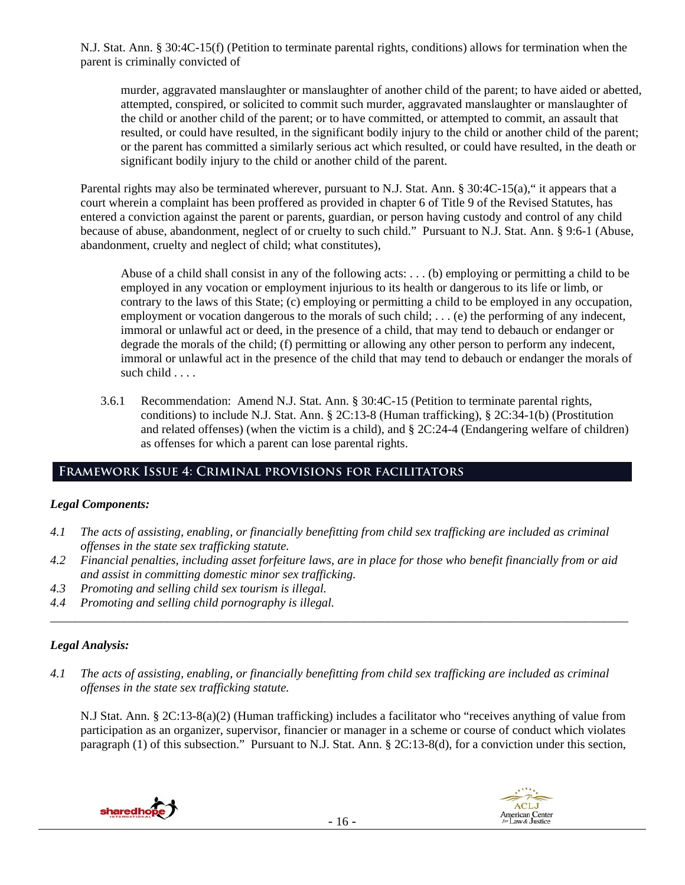N.J. Stat. Ann. § 30:4C-15(f) (Petition to terminate parental rights, conditions) allows for termination when the parent is criminally convicted of

murder, aggravated manslaughter or manslaughter of another child of the parent; to have aided or abetted, attempted, conspired, or solicited to commit such murder, aggravated manslaughter or manslaughter of the child or another child of the parent; or to have committed, or attempted to commit, an assault that resulted, or could have resulted, in the significant bodily injury to the child or another child of the parent; or the parent has committed a similarly serious act which resulted, or could have resulted, in the death or significant bodily injury to the child or another child of the parent.

Parental rights may also be terminated wherever, pursuant to N.J. Stat. Ann. § 30:4C-15(a)," it appears that a court wherein a complaint has been proffered as provided in chapter 6 of Title 9 of the Revised Statutes, has entered a conviction against the parent or parents, guardian, or person having custody and control of any child because of abuse, abandonment, neglect of or cruelty to such child." Pursuant to N.J. Stat. Ann. § 9:6-1 (Abuse, abandonment, cruelty and neglect of child; what constitutes),

Abuse of a child shall consist in any of the following acts: . . . (b) employing or permitting a child to be employed in any vocation or employment injurious to its health or dangerous to its life or limb, or contrary to the laws of this State; (c) employing or permitting a child to be employed in any occupation, employment or vocation dangerous to the morals of such child; . . . (e) the performing of any indecent, immoral or unlawful act or deed, in the presence of a child, that may tend to debauch or endanger or degrade the morals of the child; (f) permitting or allowing any other person to perform any indecent, immoral or unlawful act in the presence of the child that may tend to debauch or endanger the morals of such child . . . .

3.6.1 Recommendation: Amend N.J. Stat. Ann. § 30:4C-15 (Petition to terminate parental rights, conditions) to include N.J. Stat. Ann. § 2C:13-8 (Human trafficking), § 2C:34-1(b) (Prostitution and related offenses) (when the victim is a child), and  $\S$  2C:24-4 (Endangering welfare of children) as offenses for which a parent can lose parental rights.

# **Framework Issue 4: Criminal provisions for facilitators**

# *Legal Components:*

- *4.1 The acts of assisting, enabling, or financially benefitting from child sex trafficking are included as criminal offenses in the state sex trafficking statute.*
- *4.2 Financial penalties, including asset forfeiture laws, are in place for those who benefit financially from or aid and assist in committing domestic minor sex trafficking.*

*\_\_\_\_\_\_\_\_\_\_\_\_\_\_\_\_\_\_\_\_\_\_\_\_\_\_\_\_\_\_\_\_\_\_\_\_\_\_\_\_\_\_\_\_\_\_\_\_\_\_\_\_\_\_\_\_\_\_\_\_\_\_\_\_\_\_\_\_\_\_\_\_\_\_\_\_\_\_\_\_\_\_\_\_\_\_\_\_\_\_\_\_\_\_* 

- *4.3 Promoting and selling child sex tourism is illegal.*
- *4.4 Promoting and selling child pornography is illegal.*

# *Legal Analysis:*

*4.1 The acts of assisting, enabling, or financially benefitting from child sex trafficking are included as criminal offenses in the state sex trafficking statute.* 

N.J Stat. Ann. § 2C:13-8(a)(2) (Human trafficking) includes a facilitator who "receives anything of value from participation as an organizer, supervisor, financier or manager in a scheme or course of conduct which violates paragraph (1) of this subsection." Pursuant to N.J. Stat. Ann. § 2C:13-8(d), for a conviction under this section,



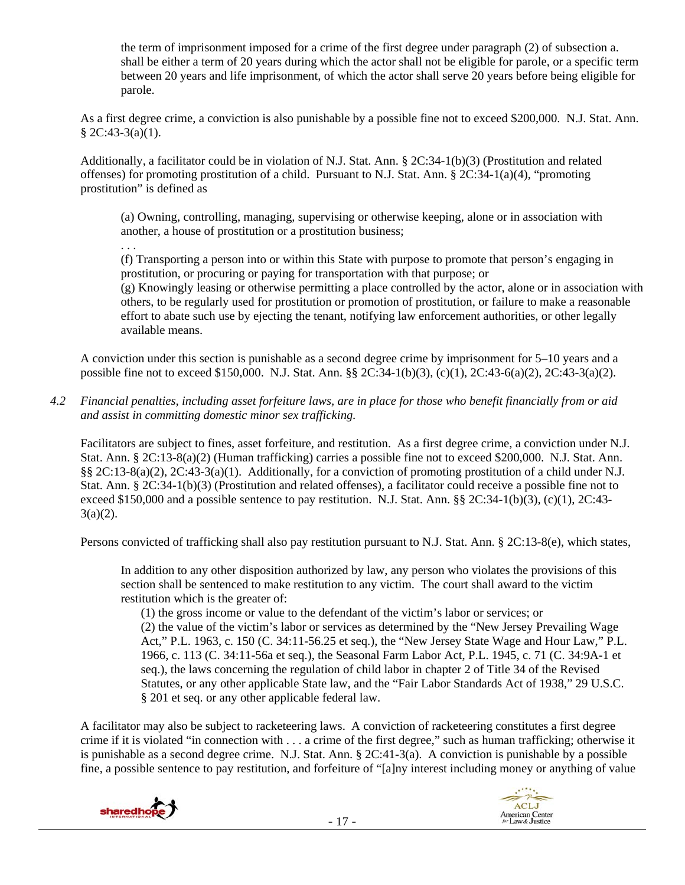the term of imprisonment imposed for a crime of the first degree under paragraph (2) of subsection a. shall be either a term of 20 years during which the actor shall not be eligible for parole, or a specific term between 20 years and life imprisonment, of which the actor shall serve 20 years before being eligible for parole.

As a first degree crime, a conviction is also punishable by a possible fine not to exceed \$200,000. N.J. Stat. Ann.  $$2C:43-3(a)(1).$ 

Additionally, a facilitator could be in violation of N.J. Stat. Ann. § 2C:34-1(b)(3) (Prostitution and related offenses) for promoting prostitution of a child. Pursuant to N.J. Stat. Ann.  $\S 2C:34-1(a)(4)$ , "promoting prostitution" is defined as

(a) Owning, controlling, managing, supervising or otherwise keeping, alone or in association with another, a house of prostitution or a prostitution business;

. . . (f) Transporting a person into or within this State with purpose to promote that person's engaging in prostitution, or procuring or paying for transportation with that purpose; or

(g) Knowingly leasing or otherwise permitting a place controlled by the actor, alone or in association with others, to be regularly used for prostitution or promotion of prostitution, or failure to make a reasonable effort to abate such use by ejecting the tenant, notifying law enforcement authorities, or other legally available means.

A conviction under this section is punishable as a second degree crime by imprisonment for 5–10 years and a possible fine not to exceed \$150,000. N.J. Stat. Ann. §§ 2C:34-1(b)(3), (c)(1), 2C:43-6(a)(2), 2C:43-3(a)(2).

*4.2 Financial penalties, including asset forfeiture laws, are in place for those who benefit financially from or aid and assist in committing domestic minor sex trafficking.* 

Facilitators are subject to fines, asset forfeiture, and restitution. As a first degree crime, a conviction under N.J. Stat. Ann. § 2C:13-8(a)(2) (Human trafficking) carries a possible fine not to exceed \$200,000. N.J. Stat. Ann. §§ 2C:13-8(a)(2), 2C:43-3(a)(1). Additionally, for a conviction of promoting prostitution of a child under N.J. Stat. Ann. § 2C:34-1(b)(3) (Prostitution and related offenses), a facilitator could receive a possible fine not to exceed \$150,000 and a possible sentence to pay restitution. N.J. Stat. Ann. §§ 2C:34-1(b)(3), (c)(1), 2C:43-  $3(a)(2)$ .

Persons convicted of trafficking shall also pay restitution pursuant to N.J. Stat. Ann. § 2C:13-8(e), which states,

In addition to any other disposition authorized by law, any person who violates the provisions of this section shall be sentenced to make restitution to any victim. The court shall award to the victim restitution which is the greater of:

(1) the gross income or value to the defendant of the victim's labor or services; or (2) the value of the victim's labor or services as determined by the "New Jersey Prevailing Wage Act," P.L. 1963, c. 150 (C. 34:11-56.25 et seq.), the "New Jersey State Wage and Hour Law," P.L. 1966, c. 113 (C. 34:11-56a et seq.), the Seasonal Farm Labor Act, P.L. 1945, c. 71 (C. 34:9A-1 et seq.), the laws concerning the regulation of child labor in chapter 2 of Title 34 of the Revised Statutes, or any other applicable State law, and the "Fair Labor Standards Act of 1938," 29 U.S.C. § 201 et seq. or any other applicable federal law.

A facilitator may also be subject to racketeering laws. A conviction of racketeering constitutes a first degree crime if it is violated "in connection with . . . a crime of the first degree," such as human trafficking; otherwise it is punishable as a second degree crime. N.J. Stat. Ann. § 2C:41-3(a). A conviction is punishable by a possible fine, a possible sentence to pay restitution, and forfeiture of "[a]ny interest including money or anything of value



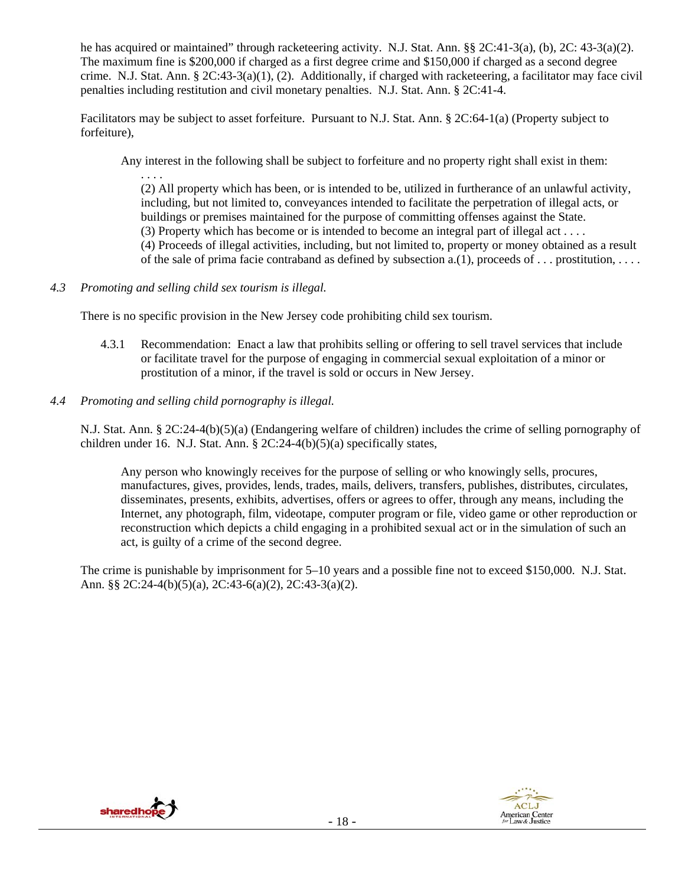he has acquired or maintained" through racketeering activity. N.J. Stat. Ann. §§ 2C:41-3(a), (b), 2C: 43-3(a)(2). The maximum fine is \$200,000 if charged as a first degree crime and \$150,000 if charged as a second degree crime. N.J. Stat. Ann.  $\S 2C:43-3(a)(1)$ , (2). Additionally, if charged with racketeering, a facilitator may face civil penalties including restitution and civil monetary penalties. N.J. Stat. Ann. § 2C:41-4.

Facilitators may be subject to asset forfeiture. Pursuant to N.J. Stat. Ann. § 2C:64-1(a) (Property subject to forfeiture),

Any interest in the following shall be subject to forfeiture and no property right shall exist in them:

. . . . (2) All property which has been, or is intended to be, utilized in furtherance of an unlawful activity, including, but not limited to, conveyances intended to facilitate the perpetration of illegal acts, or buildings or premises maintained for the purpose of committing offenses against the State. (3) Property which has become or is intended to become an integral part of illegal act . . . . (4) Proceeds of illegal activities, including, but not limited to, property or money obtained as a result of the sale of prima facie contraband as defined by subsection  $a(1)$ , proceeds of . . . prostitution, . . . .

*4.3 Promoting and selling child sex tourism is illegal.* 

There is no specific provision in the New Jersey code prohibiting child sex tourism.

- 4.3.1 Recommendation: Enact a law that prohibits selling or offering to sell travel services that include or facilitate travel for the purpose of engaging in commercial sexual exploitation of a minor or prostitution of a minor, if the travel is sold or occurs in New Jersey.
- *4.4 Promoting and selling child pornography is illegal.*

N.J. Stat. Ann. § 2C:24-4(b)(5)(a) (Endangering welfare of children) includes the crime of selling pornography of children under 16. N.J. Stat. Ann. § 2C:24-4(b)(5)(a) specifically states,

Any person who knowingly receives for the purpose of selling or who knowingly sells, procures, manufactures, gives, provides, lends, trades, mails, delivers, transfers, publishes, distributes, circulates, disseminates, presents, exhibits, advertises, offers or agrees to offer, through any means, including the Internet, any photograph, film, videotape, computer program or file, video game or other reproduction or reconstruction which depicts a child engaging in a prohibited sexual act or in the simulation of such an act, is guilty of a crime of the second degree.

The crime is punishable by imprisonment for 5–10 years and a possible fine not to exceed \$150,000. N.J. Stat. Ann. §§ 2C:24-4(b)(5)(a), 2C:43-6(a)(2), 2C:43-3(a)(2).



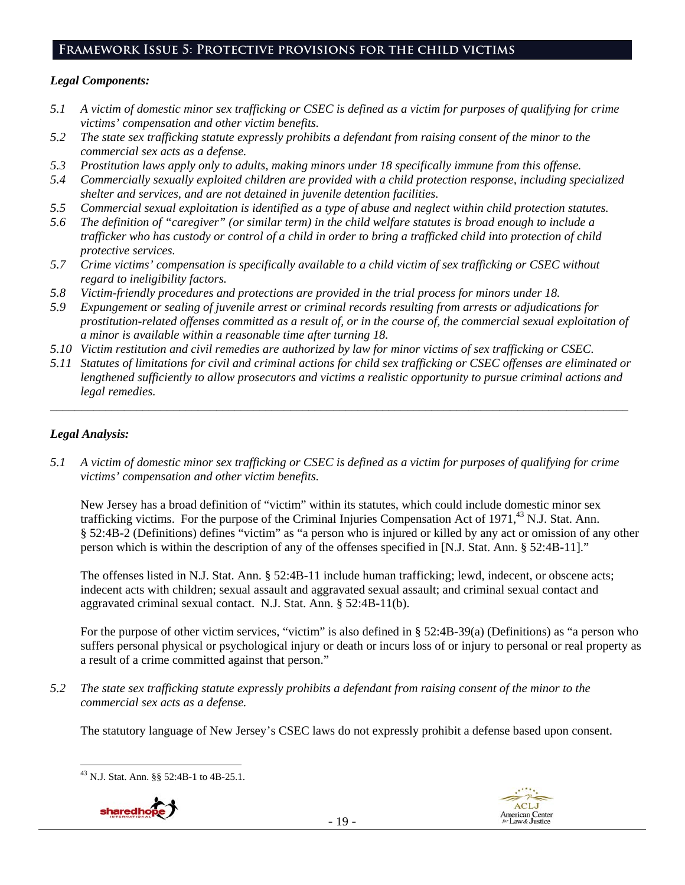# **Framework Issue 5: Protective provisions for the child victims**

# *Legal Components:*

- *5.1 A victim of domestic minor sex trafficking or CSEC is defined as a victim for purposes of qualifying for crime victims' compensation and other victim benefits.*
- *5.2 The state sex trafficking statute expressly prohibits a defendant from raising consent of the minor to the commercial sex acts as a defense.*
- *5.3 Prostitution laws apply only to adults, making minors under 18 specifically immune from this offense.*
- *5.4 Commercially sexually exploited children are provided with a child protection response, including specialized shelter and services, and are not detained in juvenile detention facilities.*
- *5.5 Commercial sexual exploitation is identified as a type of abuse and neglect within child protection statutes.*
- *5.6 The definition of "caregiver" (or similar term) in the child welfare statutes is broad enough to include a trafficker who has custody or control of a child in order to bring a trafficked child into protection of child protective services.*
- *5.7 Crime victims' compensation is specifically available to a child victim of sex trafficking or CSEC without regard to ineligibility factors.*
- *5.8 Victim-friendly procedures and protections are provided in the trial process for minors under 18.*
- *5.9 Expungement or sealing of juvenile arrest or criminal records resulting from arrests or adjudications for prostitution-related offenses committed as a result of, or in the course of, the commercial sexual exploitation of a minor is available within a reasonable time after turning 18.*
- *5.10 Victim restitution and civil remedies are authorized by law for minor victims of sex trafficking or CSEC.*
- *5.11 Statutes of limitations for civil and criminal actions for child sex trafficking or CSEC offenses are eliminated or lengthened sufficiently to allow prosecutors and victims a realistic opportunity to pursue criminal actions and legal remedies.*

*\_\_\_\_\_\_\_\_\_\_\_\_\_\_\_\_\_\_\_\_\_\_\_\_\_\_\_\_\_\_\_\_\_\_\_\_\_\_\_\_\_\_\_\_\_\_\_\_\_\_\_\_\_\_\_\_\_\_\_\_\_\_\_\_\_\_\_\_\_\_\_\_\_\_\_\_\_\_\_\_\_\_\_\_\_\_\_\_\_\_\_\_\_\_* 

# *Legal Analysis:*

*5.1 A victim of domestic minor sex trafficking or CSEC is defined as a victim for purposes of qualifying for crime victims' compensation and other victim benefits.* 

New Jersey has a broad definition of "victim" within its statutes, which could include domestic minor sex trafficking victims. For the purpose of the Criminal Injuries Compensation Act of  $1971<sup>43</sup>$  N.J. Stat. Ann. § 52:4B-2 (Definitions) defines "victim" as "a person who is injured or killed by any act or omission of any other person which is within the description of any of the offenses specified in [N.J. Stat. Ann. § 52:4B-11]."

The offenses listed in N.J. Stat. Ann. § 52:4B-11 include human trafficking; lewd, indecent, or obscene acts; indecent acts with children; sexual assault and aggravated sexual assault; and criminal sexual contact and aggravated criminal sexual contact. N.J. Stat. Ann. § 52:4B-11(b).

For the purpose of other victim services, "victim" is also defined in § 52:4B-39(a) (Definitions) as "a person who suffers personal physical or psychological injury or death or incurs loss of or injury to personal or real property as a result of a crime committed against that person."

*5.2 The state sex trafficking statute expressly prohibits a defendant from raising consent of the minor to the commercial sex acts as a defense.* 

The statutory language of New Jersey's CSEC laws do not expressly prohibit a defense based upon consent.

 $\overline{a}$ 43 N.J. Stat. Ann. §§ 52:4B-1 to 4B-25.1.



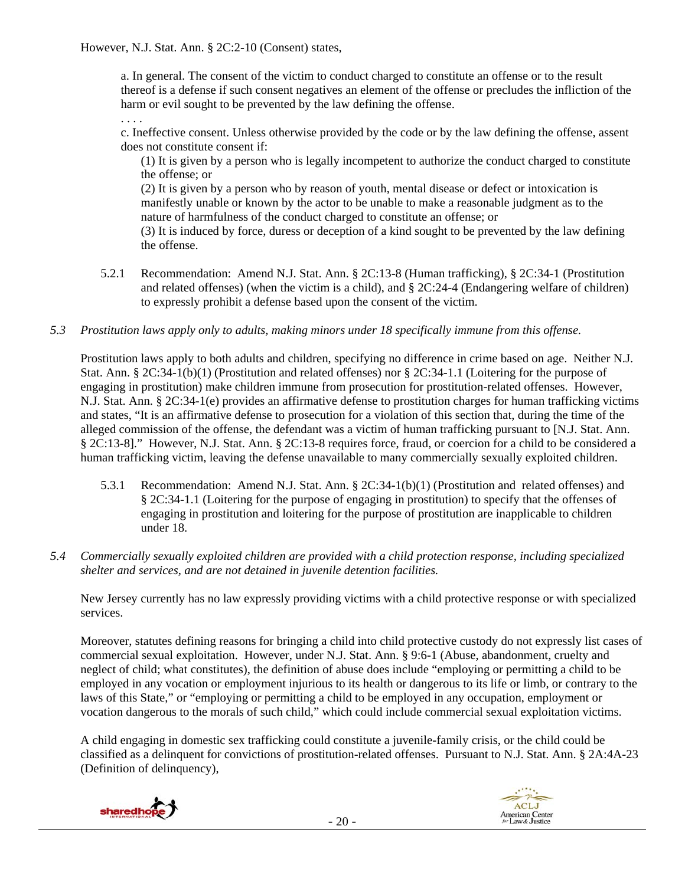However, N.J. Stat. Ann. § 2C:2-10 (Consent) states,

. . . .

a. In general. The consent of the victim to conduct charged to constitute an offense or to the result thereof is a defense if such consent negatives an element of the offense or precludes the infliction of the harm or evil sought to be prevented by the law defining the offense.

c. Ineffective consent. Unless otherwise provided by the code or by the law defining the offense, assent does not constitute consent if:

(1) It is given by a person who is legally incompetent to authorize the conduct charged to constitute the offense; or

(2) It is given by a person who by reason of youth, mental disease or defect or intoxication is manifestly unable or known by the actor to be unable to make a reasonable judgment as to the nature of harmfulness of the conduct charged to constitute an offense; or

(3) It is induced by force, duress or deception of a kind sought to be prevented by the law defining the offense.

- 5.2.1 Recommendation: Amend N.J. Stat. Ann. § 2C:13-8 (Human trafficking), § 2C:34-1 (Prostitution and related offenses) (when the victim is a child), and  $\S 2C:24-4$  (Endangering welfare of children) to expressly prohibit a defense based upon the consent of the victim.
- *5.3 Prostitution laws apply only to adults, making minors under 18 specifically immune from this offense.*

Prostitution laws apply to both adults and children, specifying no difference in crime based on age. Neither N.J. Stat. Ann. § 2C:34-1(b)(1) (Prostitution and related offenses) nor § 2C:34-1.1 (Loitering for the purpose of engaging in prostitution) make children immune from prosecution for prostitution-related offenses. However, N.J. Stat. Ann. § 2C:34-1(e) provides an affirmative defense to prostitution charges for human trafficking victims and states, "It is an affirmative defense to prosecution for a violation of this section that, during the time of the alleged commission of the offense, the defendant was a victim of human trafficking pursuant to [N.J. Stat. Ann. § 2C:13-8]." However, N.J. Stat. Ann. § 2C:13-8 requires force, fraud, or coercion for a child to be considered a human trafficking victim, leaving the defense unavailable to many commercially sexually exploited children.

- 5.3.1 Recommendation: Amend N.J. Stat. Ann. § 2C:34-1(b)(1) (Prostitution and related offenses) and § 2C:34-1.1 (Loitering for the purpose of engaging in prostitution) to specify that the offenses of engaging in prostitution and loitering for the purpose of prostitution are inapplicable to children under 18.
- *5.4 Commercially sexually exploited children are provided with a child protection response, including specialized shelter and services, and are not detained in juvenile detention facilities.*

New Jersey currently has no law expressly providing victims with a child protective response or with specialized services.

Moreover, statutes defining reasons for bringing a child into child protective custody do not expressly list cases of commercial sexual exploitation. However, under N.J. Stat. Ann. § 9:6-1 (Abuse, abandonment, cruelty and neglect of child; what constitutes), the definition of abuse does include "employing or permitting a child to be employed in any vocation or employment injurious to its health or dangerous to its life or limb, or contrary to the laws of this State," or "employing or permitting a child to be employed in any occupation, employment or vocation dangerous to the morals of such child," which could include commercial sexual exploitation victims.

A child engaging in domestic sex trafficking could constitute a juvenile-family crisis, or the child could be classified as a delinquent for convictions of prostitution-related offenses. Pursuant to N.J. Stat. Ann. § 2A:4A-23 (Definition of delinquency),



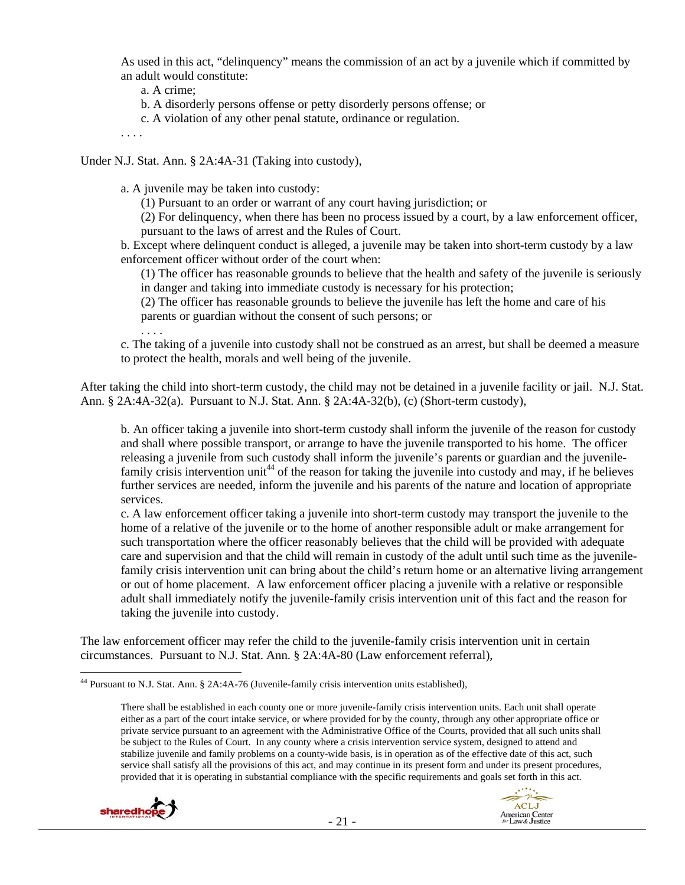As used in this act, "delinquency" means the commission of an act by a juvenile which if committed by an adult would constitute:

a. A crime;

b. A disorderly persons offense or petty disorderly persons offense; or

c. A violation of any other penal statute, ordinance or regulation.

. . . .

. . . .

Under N.J. Stat. Ann. § 2A:4A-31 (Taking into custody),

a. A juvenile may be taken into custody:

(1) Pursuant to an order or warrant of any court having jurisdiction; or

(2) For delinquency, when there has been no process issued by a court, by a law enforcement officer, pursuant to the laws of arrest and the Rules of Court.

b. Except where delinquent conduct is alleged, a juvenile may be taken into short-term custody by a law enforcement officer without order of the court when:

(1) The officer has reasonable grounds to believe that the health and safety of the juvenile is seriously in danger and taking into immediate custody is necessary for his protection;

(2) The officer has reasonable grounds to believe the juvenile has left the home and care of his parents or guardian without the consent of such persons; or

c. The taking of a juvenile into custody shall not be construed as an arrest, but shall be deemed a measure to protect the health, morals and well being of the juvenile.

After taking the child into short-term custody, the child may not be detained in a juvenile facility or jail. N.J. Stat. Ann. § 2A:4A-32(a). Pursuant to N.J. Stat. Ann. § 2A:4A-32(b), (c) (Short-term custody),

b. An officer taking a juvenile into short-term custody shall inform the juvenile of the reason for custody and shall where possible transport, or arrange to have the juvenile transported to his home. The officer releasing a juvenile from such custody shall inform the juvenile's parents or guardian and the juvenilefamily crisis intervention unit<sup>44</sup> of the reason for taking the juvenile into custody and may, if he believes further services are needed, inform the juvenile and his parents of the nature and location of appropriate services.

c. A law enforcement officer taking a juvenile into short-term custody may transport the juvenile to the home of a relative of the juvenile or to the home of another responsible adult or make arrangement for such transportation where the officer reasonably believes that the child will be provided with adequate care and supervision and that the child will remain in custody of the adult until such time as the juvenilefamily crisis intervention unit can bring about the child's return home or an alternative living arrangement or out of home placement. A law enforcement officer placing a juvenile with a relative or responsible adult shall immediately notify the juvenile-family crisis intervention unit of this fact and the reason for taking the juvenile into custody.

The law enforcement officer may refer the child to the juvenile-family crisis intervention unit in certain circumstances. Pursuant to N.J. Stat. Ann. § 2A:4A-80 (Law enforcement referral),

 $-21 -$ 



 $\overline{a}$ 

**ACLJ** 

American Center<br>for Law & Justice

<sup>&</sup>lt;sup>44</sup> Pursuant to N.J. Stat. Ann. § 2A:4A-76 (Juvenile-family crisis intervention units established),

There shall be established in each county one or more juvenile-family crisis intervention units. Each unit shall operate either as a part of the court intake service, or where provided for by the county, through any other appropriate office or private service pursuant to an agreement with the Administrative Office of the Courts, provided that all such units shall be subject to the Rules of Court. In any county where a crisis intervention service system, designed to attend and stabilize juvenile and family problems on a county-wide basis, is in operation as of the effective date of this act, such service shall satisfy all the provisions of this act, and may continue in its present form and under its present procedures, provided that it is operating in substantial compliance with the specific requirements and goals set forth in this act.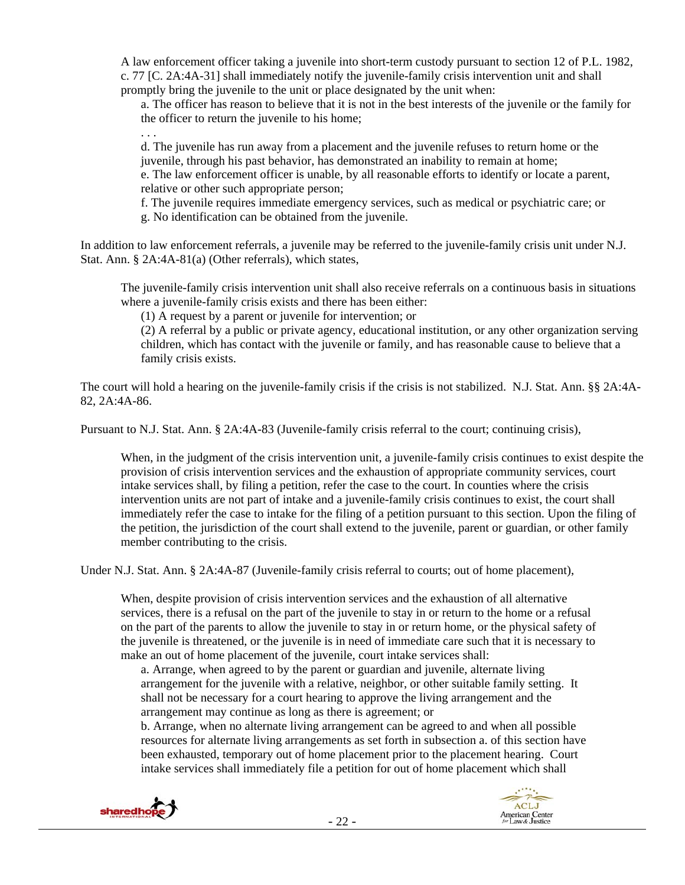A law enforcement officer taking a juvenile into short-term custody pursuant to section 12 of P.L. 1982, c. 77 [C. 2A:4A-31] shall immediately notify the juvenile-family crisis intervention unit and shall promptly bring the juvenile to the unit or place designated by the unit when:

a. The officer has reason to believe that it is not in the best interests of the juvenile or the family for the officer to return the juvenile to his home;

. . .

d. The juvenile has run away from a placement and the juvenile refuses to return home or the juvenile, through his past behavior, has demonstrated an inability to remain at home;

e. The law enforcement officer is unable, by all reasonable efforts to identify or locate a parent, relative or other such appropriate person;

f. The juvenile requires immediate emergency services, such as medical or psychiatric care; or

g. No identification can be obtained from the juvenile.

In addition to law enforcement referrals, a juvenile may be referred to the juvenile-family crisis unit under N.J. Stat. Ann. § 2A:4A-81(a) (Other referrals), which states,

The juvenile-family crisis intervention unit shall also receive referrals on a continuous basis in situations where a juvenile-family crisis exists and there has been either:

(1) A request by a parent or juvenile for intervention; or

(2) A referral by a public or private agency, educational institution, or any other organization serving children, which has contact with the juvenile or family, and has reasonable cause to believe that a family crisis exists.

The court will hold a hearing on the juvenile-family crisis if the crisis is not stabilized. N.J. Stat. Ann. §§ 2A:4A-82, 2A:4A-86.

Pursuant to N.J. Stat. Ann. § 2A:4A-83 (Juvenile-family crisis referral to the court; continuing crisis),

When, in the judgment of the crisis intervention unit, a juvenile-family crisis continues to exist despite the provision of crisis intervention services and the exhaustion of appropriate community services, court intake services shall, by filing a petition, refer the case to the court. In counties where the crisis intervention units are not part of intake and a juvenile-family crisis continues to exist, the court shall immediately refer the case to intake for the filing of a petition pursuant to this section. Upon the filing of the petition, the jurisdiction of the court shall extend to the juvenile, parent or guardian, or other family member contributing to the crisis.

Under N.J. Stat. Ann. § 2A:4A-87 (Juvenile-family crisis referral to courts; out of home placement),

When, despite provision of crisis intervention services and the exhaustion of all alternative services, there is a refusal on the part of the juvenile to stay in or return to the home or a refusal on the part of the parents to allow the juvenile to stay in or return home, or the physical safety of the juvenile is threatened, or the juvenile is in need of immediate care such that it is necessary to make an out of home placement of the juvenile, court intake services shall:

a. Arrange, when agreed to by the parent or guardian and juvenile, alternate living arrangement for the juvenile with a relative, neighbor, or other suitable family setting. It shall not be necessary for a court hearing to approve the living arrangement and the arrangement may continue as long as there is agreement; or

b. Arrange, when no alternate living arrangement can be agreed to and when all possible resources for alternate living arrangements as set forth in subsection a. of this section have been exhausted, temporary out of home placement prior to the placement hearing. Court intake services shall immediately file a petition for out of home placement which shall



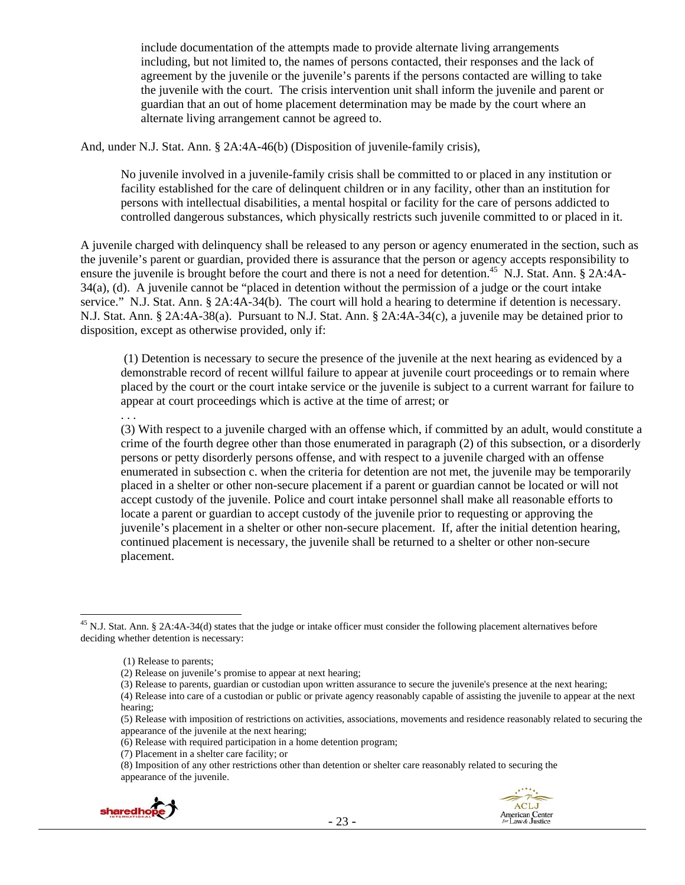include documentation of the attempts made to provide alternate living arrangements including, but not limited to, the names of persons contacted, their responses and the lack of agreement by the juvenile or the juvenile's parents if the persons contacted are willing to take the juvenile with the court. The crisis intervention unit shall inform the juvenile and parent or guardian that an out of home placement determination may be made by the court where an alternate living arrangement cannot be agreed to.

And, under N.J. Stat. Ann. § 2A:4A-46(b) (Disposition of juvenile-family crisis),

No juvenile involved in a juvenile-family crisis shall be committed to or placed in any institution or facility established for the care of delinquent children or in any facility, other than an institution for persons with intellectual disabilities, a mental hospital or facility for the care of persons addicted to controlled dangerous substances, which physically restricts such juvenile committed to or placed in it.

A juvenile charged with delinquency shall be released to any person or agency enumerated in the section, such as the juvenile's parent or guardian, provided there is assurance that the person or agency accepts responsibility to ensure the juvenile is brought before the court and there is not a need for detention.<sup>45</sup> N.J. Stat. Ann. § 2A:4A-34(a), (d). A juvenile cannot be "placed in detention without the permission of a judge or the court intake service." N.J. Stat. Ann. § 2A:4A-34(b). The court will hold a hearing to determine if detention is necessary. N.J. Stat. Ann. § 2A:4A-38(a). Pursuant to N.J. Stat. Ann. § 2A:4A-34(c), a juvenile may be detained prior to disposition, except as otherwise provided, only if:

 (1) Detention is necessary to secure the presence of the juvenile at the next hearing as evidenced by a demonstrable record of recent willful failure to appear at juvenile court proceedings or to remain where placed by the court or the court intake service or the juvenile is subject to a current warrant for failure to appear at court proceedings which is active at the time of arrest; or

. . .

 $\overline{a}$ 

(3) With respect to a juvenile charged with an offense which, if committed by an adult, would constitute a crime of the fourth degree other than those enumerated in paragraph (2) of this subsection, or a disorderly persons or petty disorderly persons offense, and with respect to a juvenile charged with an offense enumerated in subsection c. when the criteria for detention are not met, the juvenile may be temporarily placed in a shelter or other non-secure placement if a parent or guardian cannot be located or will not accept custody of the juvenile. Police and court intake personnel shall make all reasonable efforts to locate a parent or guardian to accept custody of the juvenile prior to requesting or approving the juvenile's placement in a shelter or other non-secure placement. If, after the initial detention hearing, continued placement is necessary, the juvenile shall be returned to a shelter or other non-secure placement.

(3) Release to parents, guardian or custodian upon written assurance to secure the juvenile's presence at the next hearing;

<sup>(8)</sup> Imposition of any other restrictions other than detention or shelter care reasonably related to securing the appearance of the juvenile.





<sup>&</sup>lt;sup>45</sup> N.J. Stat. Ann. § 2A:4A-34(d) states that the judge or intake officer must consider the following placement alternatives before deciding whether detention is necessary:

 <sup>(1)</sup> Release to parents;

<sup>(2)</sup> Release on juvenile's promise to appear at next hearing;

<sup>(4)</sup> Release into care of a custodian or public or private agency reasonably capable of assisting the juvenile to appear at the next hearing;

<sup>(5)</sup> Release with imposition of restrictions on activities, associations, movements and residence reasonably related to securing the appearance of the juvenile at the next hearing;

<sup>(6)</sup> Release with required participation in a home detention program;

<sup>(7)</sup> Placement in a shelter care facility; or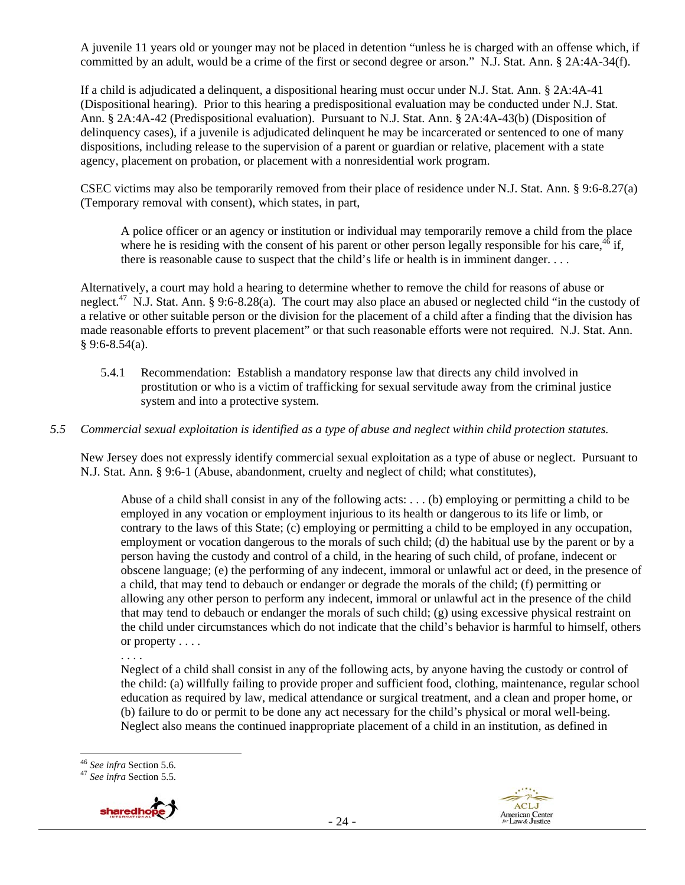A juvenile 11 years old or younger may not be placed in detention "unless he is charged with an offense which, if committed by an adult, would be a crime of the first or second degree or arson." N.J. Stat. Ann. § 2A:4A-34(f).

If a child is adjudicated a delinquent, a dispositional hearing must occur under N.J. Stat. Ann. § 2A:4A-41 (Dispositional hearing). Prior to this hearing a predispositional evaluation may be conducted under N.J. Stat. Ann. § 2A:4A-42 (Predispositional evaluation). Pursuant to N.J. Stat. Ann. § 2A:4A-43(b) (Disposition of delinquency cases), if a juvenile is adjudicated delinquent he may be incarcerated or sentenced to one of many dispositions, including release to the supervision of a parent or guardian or relative, placement with a state agency, placement on probation, or placement with a nonresidential work program.

CSEC victims may also be temporarily removed from their place of residence under N.J. Stat. Ann. § 9:6-8.27(a) (Temporary removal with consent), which states, in part,

A police officer or an agency or institution or individual may temporarily remove a child from the place where he is residing with the consent of his parent or other person legally responsible for his care,  $46$  if, there is reasonable cause to suspect that the child's life or health is in imminent danger. . . .

Alternatively, a court may hold a hearing to determine whether to remove the child for reasons of abuse or neglect.<sup>47</sup> N.J. Stat. Ann. § 9:6-8.28(a). The court may also place an abused or neglected child "in the custody of a relative or other suitable person or the division for the placement of a child after a finding that the division has made reasonable efforts to prevent placement" or that such reasonable efforts were not required. N.J. Stat. Ann.  $§$  9:6-8.54(a).

- 5.4.1 Recommendation: Establish a mandatory response law that directs any child involved in prostitution or who is a victim of trafficking for sexual servitude away from the criminal justice system and into a protective system.
- *5.5 Commercial sexual exploitation is identified as a type of abuse and neglect within child protection statutes.*

New Jersey does not expressly identify commercial sexual exploitation as a type of abuse or neglect. Pursuant to N.J. Stat. Ann. § 9:6-1 (Abuse, abandonment, cruelty and neglect of child; what constitutes),

Abuse of a child shall consist in any of the following acts: . . . (b) employing or permitting a child to be employed in any vocation or employment injurious to its health or dangerous to its life or limb, or contrary to the laws of this State; (c) employing or permitting a child to be employed in any occupation, employment or vocation dangerous to the morals of such child; (d) the habitual use by the parent or by a person having the custody and control of a child, in the hearing of such child, of profane, indecent or obscene language; (e) the performing of any indecent, immoral or unlawful act or deed, in the presence of a child, that may tend to debauch or endanger or degrade the morals of the child; (f) permitting or allowing any other person to perform any indecent, immoral or unlawful act in the presence of the child that may tend to debauch or endanger the morals of such child; (g) using excessive physical restraint on the child under circumstances which do not indicate that the child's behavior is harmful to himself, others or property . . . .

Neglect of a child shall consist in any of the following acts, by anyone having the custody or control of the child: (a) willfully failing to provide proper and sufficient food, clothing, maintenance, regular school education as required by law, medical attendance or surgical treatment, and a clean and proper home, or (b) failure to do or permit to be done any act necessary for the child's physical or moral well-being. Neglect also means the continued inappropriate placement of a child in an institution, as defined in

 $\overline{a}$ 





 <sup>. . . .</sup> 

<sup>46</sup> *See infra* Section 5.6. 47 *See infra* Section 5.5.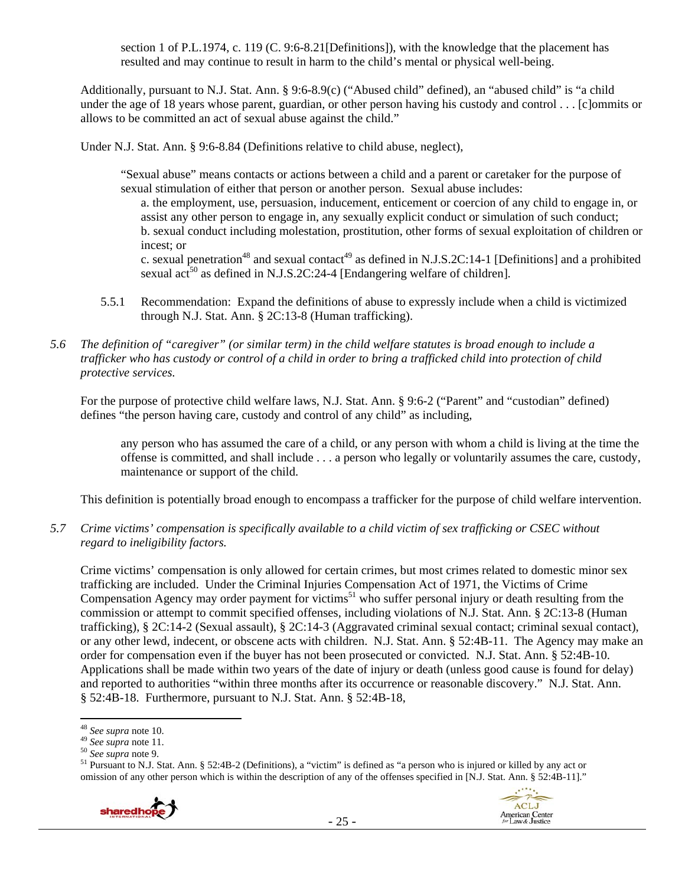section 1 of P.L.1974, c. 119 (C. 9:6-8.21[Definitions]), with the knowledge that the placement has resulted and may continue to result in harm to the child's mental or physical well-being.

Additionally, pursuant to N.J. Stat. Ann. § 9:6-8.9(c) ("Abused child" defined), an "abused child" is "a child under the age of 18 years whose parent, guardian, or other person having his custody and control . . . [c]ommits or allows to be committed an act of sexual abuse against the child."

Under N.J. Stat. Ann. § 9:6-8.84 (Definitions relative to child abuse, neglect),

"Sexual abuse" means contacts or actions between a child and a parent or caretaker for the purpose of sexual stimulation of either that person or another person. Sexual abuse includes:

a. the employment, use, persuasion, inducement, enticement or coercion of any child to engage in, or assist any other person to engage in, any sexually explicit conduct or simulation of such conduct; b. sexual conduct including molestation, prostitution, other forms of sexual exploitation of children or incest; or

c. sexual penetration<sup>48</sup> and sexual contact<sup>49</sup> as defined in N.J.S.2C:14-1 [Definitions] and a prohibited sexual  $\text{act}^{50}$  as defined in N.J.S.2C:24-4 [Endangering welfare of children].

- 5.5.1 Recommendation: Expand the definitions of abuse to expressly include when a child is victimized through N.J. Stat. Ann. § 2C:13-8 (Human trafficking).
- *5.6 The definition of "caregiver" (or similar term) in the child welfare statutes is broad enough to include a trafficker who has custody or control of a child in order to bring a trafficked child into protection of child protective services.*

For the purpose of protective child welfare laws, N.J. Stat. Ann. § 9:6-2 ("Parent" and "custodian" defined) defines "the person having care, custody and control of any child" as including,

any person who has assumed the care of a child, or any person with whom a child is living at the time the offense is committed, and shall include . . . a person who legally or voluntarily assumes the care, custody, maintenance or support of the child.

This definition is potentially broad enough to encompass a trafficker for the purpose of child welfare intervention.

*5.7 Crime victims' compensation is specifically available to a child victim of sex trafficking or CSEC without regard to ineligibility factors.* 

Crime victims' compensation is only allowed for certain crimes, but most crimes related to domestic minor sex trafficking are included. Under the Criminal Injuries Compensation Act of 1971, the Victims of Crime Compensation Agency may order payment for victims<sup>51</sup> who suffer personal injury or death resulting from the commission or attempt to commit specified offenses, including violations of N.J. Stat. Ann. § 2C:13-8 (Human trafficking), § 2C:14-2 (Sexual assault), § 2C:14-3 (Aggravated criminal sexual contact; criminal sexual contact), or any other lewd, indecent, or obscene acts with children. N.J. Stat. Ann. § 52:4B-11. The Agency may make an order for compensation even if the buyer has not been prosecuted or convicted. N.J. Stat. Ann. § 52:4B-10. Applications shall be made within two years of the date of injury or death (unless good cause is found for delay) and reported to authorities "within three months after its occurrence or reasonable discovery." N.J. Stat. Ann. § 52:4B-18. Furthermore, pursuant to N.J. Stat. Ann. § 52:4B-18,

<sup>&</sup>lt;sup>49</sup> *See supra* note 10.<br><sup>49</sup> *See supra* note 11.<br><sup>50</sup> *See supra* note 9.<br><sup>51</sup> Pursuant to N.J. Stat. Ann. § 52:4B-2 (Definitions), a "victim" is defined as "a person who is injured or killed by any act or omission of any other person which is within the description of any of the offenses specified in [N.J. Stat. Ann. § 52:4B-11]."



<sup>&</sup>lt;sup>48</sup> See supra note 10.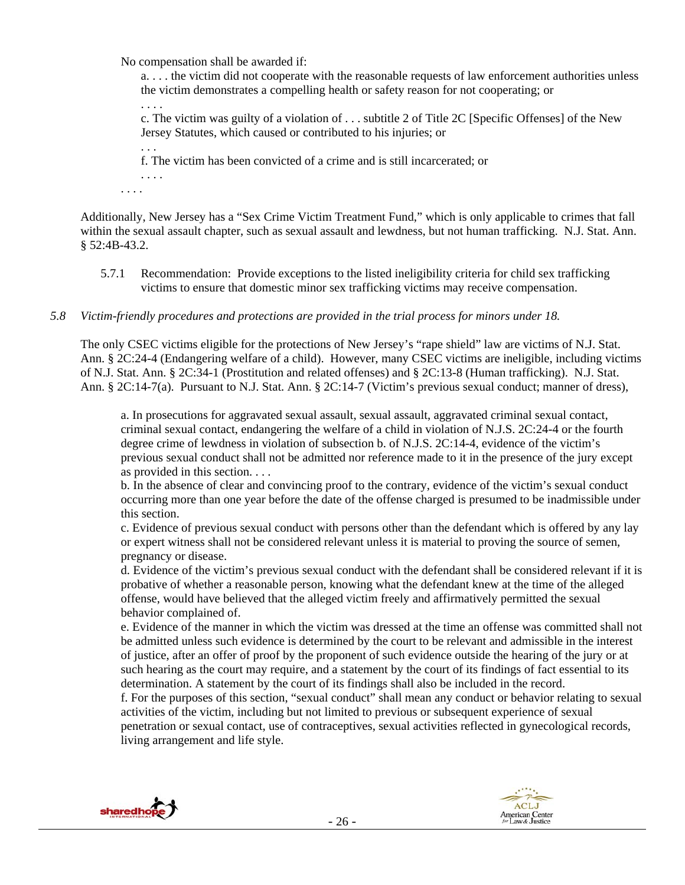No compensation shall be awarded if:

a. . . . the victim did not cooperate with the reasonable requests of law enforcement authorities unless the victim demonstrates a compelling health or safety reason for not cooperating; or

. . . .

c. The victim was guilty of a violation of . . . subtitle 2 of Title 2C [Specific Offenses] of the New Jersey Statutes, which caused or contributed to his injuries; or

f. The victim has been convicted of a crime and is still incarcerated; or

. . . .

. . . .

. . .

Additionally, New Jersey has a "Sex Crime Victim Treatment Fund," which is only applicable to crimes that fall within the sexual assault chapter, such as sexual assault and lewdness, but not human trafficking. N.J. Stat. Ann. § 52:4B-43.2.

5.7.1 Recommendation: Provide exceptions to the listed ineligibility criteria for child sex trafficking victims to ensure that domestic minor sex trafficking victims may receive compensation.

# *5.8 Victim-friendly procedures and protections are provided in the trial process for minors under 18.*

The only CSEC victims eligible for the protections of New Jersey's "rape shield" law are victims of N.J. Stat. Ann. § 2C:24-4 (Endangering welfare of a child). However, many CSEC victims are ineligible, including victims of N.J. Stat. Ann. § 2C:34-1 (Prostitution and related offenses) and § 2C:13-8 (Human trafficking). N.J. Stat. Ann. § 2C:14-7(a). Pursuant to N.J. Stat. Ann. § 2C:14-7 (Victim's previous sexual conduct; manner of dress),

a. In prosecutions for aggravated sexual assault, sexual assault, aggravated criminal sexual contact, criminal sexual contact, endangering the welfare of a child in violation of N.J.S. 2C:24-4 or the fourth degree crime of lewdness in violation of subsection b. of N.J.S. 2C:14-4, evidence of the victim's previous sexual conduct shall not be admitted nor reference made to it in the presence of the jury except as provided in this section. . . .

b. In the absence of clear and convincing proof to the contrary, evidence of the victim's sexual conduct occurring more than one year before the date of the offense charged is presumed to be inadmissible under this section.

c. Evidence of previous sexual conduct with persons other than the defendant which is offered by any lay or expert witness shall not be considered relevant unless it is material to proving the source of semen, pregnancy or disease.

d. Evidence of the victim's previous sexual conduct with the defendant shall be considered relevant if it is probative of whether a reasonable person, knowing what the defendant knew at the time of the alleged offense, would have believed that the alleged victim freely and affirmatively permitted the sexual behavior complained of.

e. Evidence of the manner in which the victim was dressed at the time an offense was committed shall not be admitted unless such evidence is determined by the court to be relevant and admissible in the interest of justice, after an offer of proof by the proponent of such evidence outside the hearing of the jury or at such hearing as the court may require, and a statement by the court of its findings of fact essential to its determination. A statement by the court of its findings shall also be included in the record.

f. For the purposes of this section, "sexual conduct" shall mean any conduct or behavior relating to sexual activities of the victim, including but not limited to previous or subsequent experience of sexual penetration or sexual contact, use of contraceptives, sexual activities reflected in gynecological records, living arrangement and life style.



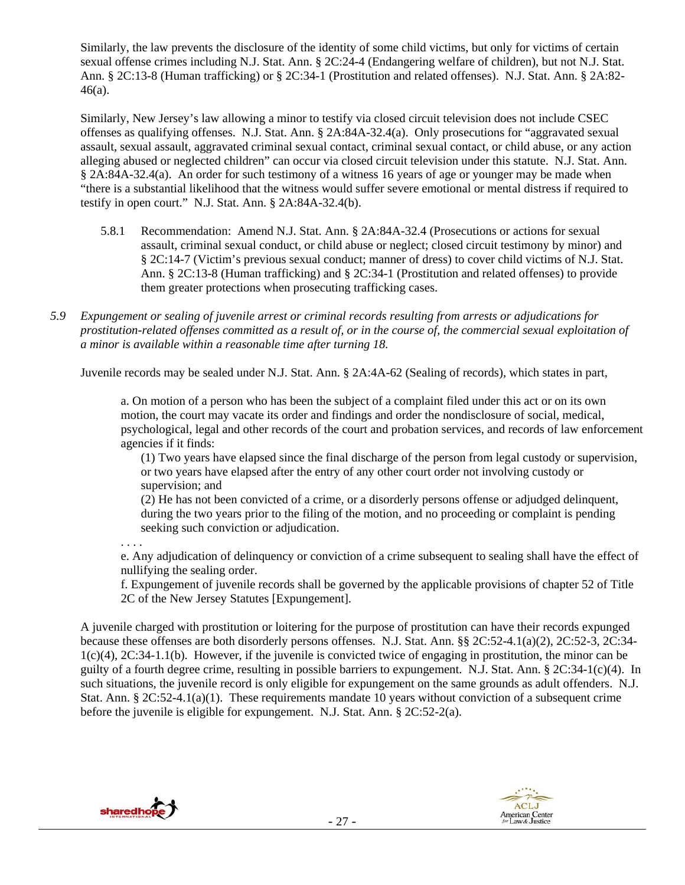Similarly, the law prevents the disclosure of the identity of some child victims, but only for victims of certain sexual offense crimes including N.J. Stat. Ann. § 2C:24-4 (Endangering welfare of children), but not N.J. Stat. Ann. § 2C:13-8 (Human trafficking) or § 2C:34-1 (Prostitution and related offenses). N.J. Stat. Ann. § 2A:82- 46(a).

Similarly, New Jersey's law allowing a minor to testify via closed circuit television does not include CSEC offenses as qualifying offenses. N.J. Stat. Ann. § 2A:84A-32.4(a). Only prosecutions for "aggravated sexual assault, sexual assault, aggravated criminal sexual contact, criminal sexual contact, or child abuse, or any action alleging abused or neglected children" can occur via closed circuit television under this statute. N.J. Stat. Ann. § 2A:84A-32.4(a). An order for such testimony of a witness 16 years of age or younger may be made when "there is a substantial likelihood that the witness would suffer severe emotional or mental distress if required to testify in open court." N.J. Stat. Ann. § 2A:84A-32.4(b).

- 5.8.1 Recommendation: Amend N.J. Stat. Ann. § 2A:84A-32.4 (Prosecutions or actions for sexual assault, criminal sexual conduct, or child abuse or neglect; closed circuit testimony by minor) and § 2C:14-7 (Victim's previous sexual conduct; manner of dress) to cover child victims of N.J. Stat. Ann. § 2C:13-8 (Human trafficking) and § 2C:34-1 (Prostitution and related offenses) to provide them greater protections when prosecuting trafficking cases.
- *5.9 Expungement or sealing of juvenile arrest or criminal records resulting from arrests or adjudications for prostitution-related offenses committed as a result of, or in the course of, the commercial sexual exploitation of a minor is available within a reasonable time after turning 18.*

Juvenile records may be sealed under N.J. Stat. Ann. § 2A:4A-62 (Sealing of records), which states in part,

a. On motion of a person who has been the subject of a complaint filed under this act or on its own motion, the court may vacate its order and findings and order the nondisclosure of social, medical, psychological, legal and other records of the court and probation services, and records of law enforcement agencies if it finds:

(1) Two years have elapsed since the final discharge of the person from legal custody or supervision, or two years have elapsed after the entry of any other court order not involving custody or supervision; and

(2) He has not been convicted of a crime, or a disorderly persons offense or adjudged delinquent, during the two years prior to the filing of the motion, and no proceeding or complaint is pending seeking such conviction or adjudication.

e. Any adjudication of delinquency or conviction of a crime subsequent to sealing shall have the effect of nullifying the sealing order.

f. Expungement of juvenile records shall be governed by the applicable provisions of chapter 52 of Title 2C of the New Jersey Statutes [Expungement].

A juvenile charged with prostitution or loitering for the purpose of prostitution can have their records expunged because these offenses are both disorderly persons offenses. N.J. Stat. Ann. §§ 2C:52-4.1(a)(2), 2C:52-3, 2C:34- 1(c)(4), 2C:34-1.1(b). However, if the juvenile is convicted twice of engaging in prostitution, the minor can be guilty of a fourth degree crime, resulting in possible barriers to expungement. N.J. Stat. Ann. § 2C:34-1(c)(4). In such situations, the juvenile record is only eligible for expungement on the same grounds as adult offenders. N.J. Stat. Ann. § 2C:52-4.1(a)(1). These requirements mandate 10 years without conviction of a subsequent crime before the juvenile is eligible for expungement. N.J. Stat. Ann. § 2C:52-2(a).



. . . .

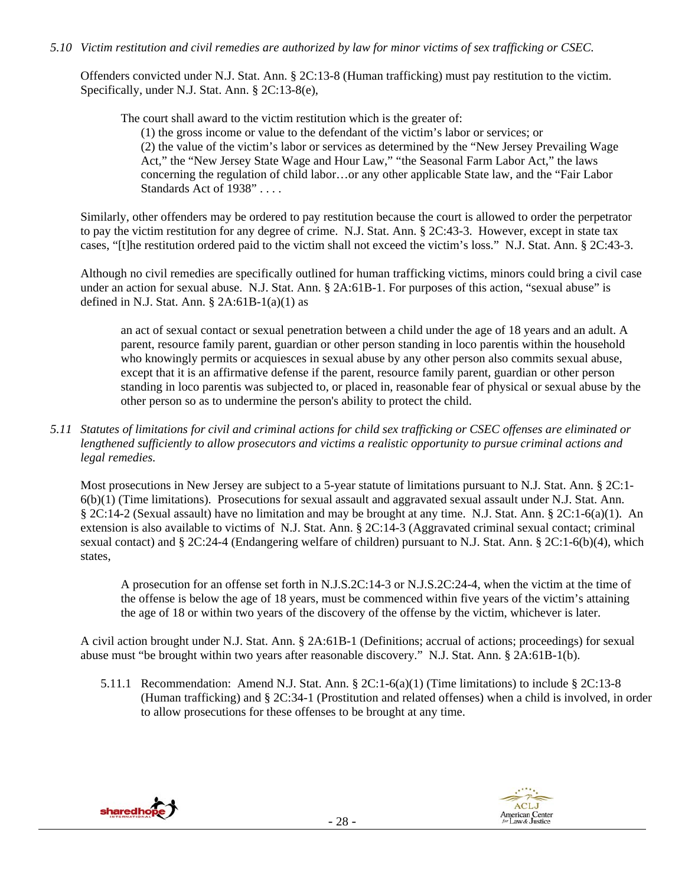# *5.10 Victim restitution and civil remedies are authorized by law for minor victims of sex trafficking or CSEC.*

Offenders convicted under N.J. Stat. Ann. § 2C:13-8 (Human trafficking) must pay restitution to the victim. Specifically, under N.J. Stat. Ann. § 2C:13-8(e),

The court shall award to the victim restitution which is the greater of:

(1) the gross income or value to the defendant of the victim's labor or services; or (2) the value of the victim's labor or services as determined by the "New Jersey Prevailing Wage Act," the "New Jersey State Wage and Hour Law," "the Seasonal Farm Labor Act," the laws concerning the regulation of child labor…or any other applicable State law, and the "Fair Labor Standards Act of 1938" . . . .

Similarly, other offenders may be ordered to pay restitution because the court is allowed to order the perpetrator to pay the victim restitution for any degree of crime. N.J. Stat. Ann. § 2C:43-3. However, except in state tax cases, "[t]he restitution ordered paid to the victim shall not exceed the victim's loss." N.J. Stat. Ann. § 2C:43-3.

Although no civil remedies are specifically outlined for human trafficking victims, minors could bring a civil case under an action for sexual abuse. N.J. Stat. Ann. § 2A:61B-1. For purposes of this action, "sexual abuse" is defined in N.J. Stat. Ann.  $\S$  2A:61B-1(a)(1) as

an act of sexual contact or sexual penetration between a child under the age of 18 years and an adult. A parent, resource family parent, guardian or other person standing in loco parentis within the household who knowingly permits or acquiesces in sexual abuse by any other person also commits sexual abuse, except that it is an affirmative defense if the parent, resource family parent, guardian or other person standing in loco parentis was subjected to, or placed in, reasonable fear of physical or sexual abuse by the other person so as to undermine the person's ability to protect the child.

# *5.11 Statutes of limitations for civil and criminal actions for child sex trafficking or CSEC offenses are eliminated or lengthened sufficiently to allow prosecutors and victims a realistic opportunity to pursue criminal actions and legal remedies.*

Most prosecutions in New Jersey are subject to a 5-year statute of limitations pursuant to N.J. Stat. Ann. § 2C:1- 6(b)(1) (Time limitations). Prosecutions for sexual assault and aggravated sexual assault under N.J. Stat. Ann. § 2C:14-2 (Sexual assault) have no limitation and may be brought at any time. N.J. Stat. Ann. § 2C:1-6(a)(1). An extension is also available to victims of N.J. Stat. Ann. § 2C:14-3 (Aggravated criminal sexual contact; criminal sexual contact) and § 2C:24-4 (Endangering welfare of children) pursuant to N.J. Stat. Ann. § 2C:1-6(b)(4), which states,

A prosecution for an offense set forth in N.J.S.2C:14-3 or N.J.S.2C:24-4, when the victim at the time of the offense is below the age of 18 years, must be commenced within five years of the victim's attaining the age of 18 or within two years of the discovery of the offense by the victim, whichever is later.

A civil action brought under N.J. Stat. Ann. § 2A:61B-1 (Definitions; accrual of actions; proceedings) for sexual abuse must "be brought within two years after reasonable discovery." N.J. Stat. Ann. § 2A:61B-1(b).

5.11.1 Recommendation: Amend N.J. Stat. Ann. § 2C:1-6(a)(1) (Time limitations) to include § 2C:13-8 (Human trafficking) and § 2C:34-1 (Prostitution and related offenses) when a child is involved, in order to allow prosecutions for these offenses to be brought at any time.



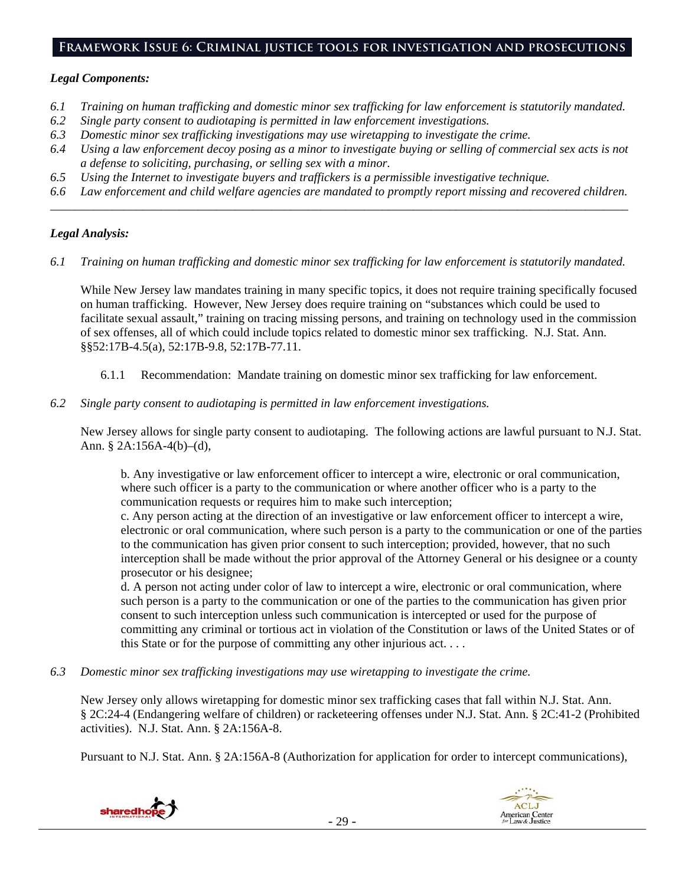# **Framework Issue 6: Criminal justice tools for investigation and prosecutions**

# *Legal Components:*

- *6.1 Training on human trafficking and domestic minor sex trafficking for law enforcement is statutorily mandated.*
- *6.2 Single party consent to audiotaping is permitted in law enforcement investigations.*
- *6.3 Domestic minor sex trafficking investigations may use wiretapping to investigate the crime.*
- *6.4 Using a law enforcement decoy posing as a minor to investigate buying or selling of commercial sex acts is not a defense to soliciting, purchasing, or selling sex with a minor.*
- *6.5 Using the Internet to investigate buyers and traffickers is a permissible investigative technique.*
- *6.6 Law enforcement and child welfare agencies are mandated to promptly report missing and recovered children. \_\_\_\_\_\_\_\_\_\_\_\_\_\_\_\_\_\_\_\_\_\_\_\_\_\_\_\_\_\_\_\_\_\_\_\_\_\_\_\_\_\_\_\_\_\_\_\_\_\_\_\_\_\_\_\_\_\_\_\_\_\_\_\_\_\_\_\_\_\_\_\_\_\_\_\_\_\_\_\_\_\_\_\_\_\_\_\_\_\_\_\_\_\_*

# *Legal Analysis:*

*6.1 Training on human trafficking and domestic minor sex trafficking for law enforcement is statutorily mandated.* 

While New Jersey law mandates training in many specific topics, it does not require training specifically focused on human trafficking. However, New Jersey does require training on "substances which could be used to facilitate sexual assault," training on tracing missing persons, and training on technology used in the commission of sex offenses, all of which could include topics related to domestic minor sex trafficking. N.J. Stat. Ann. §§52:17B-4.5(a), 52:17B-9.8, 52:17B-77.11.

- 6.1.1 Recommendation: Mandate training on domestic minor sex trafficking for law enforcement.
- *6.2 Single party consent to audiotaping is permitted in law enforcement investigations.*

New Jersey allows for single party consent to audiotaping. The following actions are lawful pursuant to N.J. Stat. Ann. § 2A:156A-4(b)–(d),

b. Any investigative or law enforcement officer to intercept a wire, electronic or oral communication, where such officer is a party to the communication or where another officer who is a party to the communication requests or requires him to make such interception;

c. Any person acting at the direction of an investigative or law enforcement officer to intercept a wire, electronic or oral communication, where such person is a party to the communication or one of the parties to the communication has given prior consent to such interception; provided, however, that no such interception shall be made without the prior approval of the Attorney General or his designee or a county prosecutor or his designee;

d. A person not acting under color of law to intercept a wire, electronic or oral communication, where such person is a party to the communication or one of the parties to the communication has given prior consent to such interception unless such communication is intercepted or used for the purpose of committing any criminal or tortious act in violation of the Constitution or laws of the United States or of this State or for the purpose of committing any other injurious act. . . .

*6.3 Domestic minor sex trafficking investigations may use wiretapping to investigate the crime.* 

New Jersey only allows wiretapping for domestic minor sex trafficking cases that fall within N.J. Stat. Ann. § 2C:24-4 (Endangering welfare of children) or racketeering offenses under N.J. Stat. Ann. § 2C:41-2 (Prohibited activities). N.J. Stat. Ann. § 2A:156A-8.

Pursuant to N.J. Stat. Ann. § 2A:156A-8 (Authorization for application for order to intercept communications),

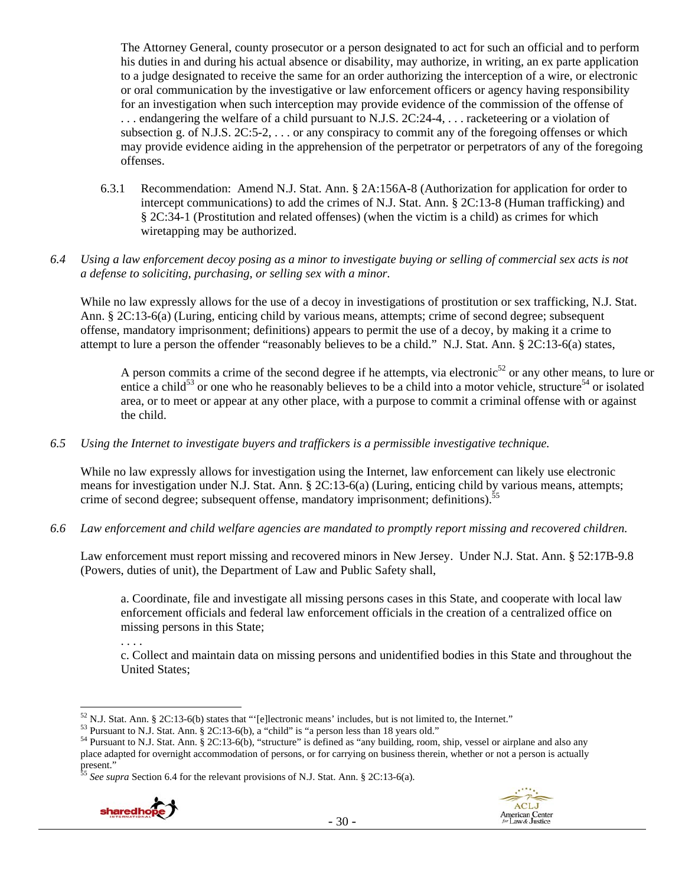The Attorney General, county prosecutor or a person designated to act for such an official and to perform his duties in and during his actual absence or disability, may authorize, in writing, an ex parte application to a judge designated to receive the same for an order authorizing the interception of a wire, or electronic or oral communication by the investigative or law enforcement officers or agency having responsibility for an investigation when such interception may provide evidence of the commission of the offense of . . . endangering the welfare of a child pursuant to N.J.S. 2C:24-4, . . . racketeering or a violation of subsection g. of N.J.S. 2C:5-2, . . . or any conspiracy to commit any of the foregoing offenses or which may provide evidence aiding in the apprehension of the perpetrator or perpetrators of any of the foregoing offenses.

- 6.3.1 Recommendation: Amend N.J. Stat. Ann. § 2A:156A-8 (Authorization for application for order to intercept communications) to add the crimes of N.J. Stat. Ann. § 2C:13-8 (Human trafficking) and § 2C:34-1 (Prostitution and related offenses) (when the victim is a child) as crimes for which wiretapping may be authorized.
- *6.4 Using a law enforcement decoy posing as a minor to investigate buying or selling of commercial sex acts is not a defense to soliciting, purchasing, or selling sex with a minor.*

While no law expressly allows for the use of a decoy in investigations of prostitution or sex trafficking, N.J. Stat. Ann. § 2C:13-6(a) (Luring, enticing child by various means, attempts; crime of second degree; subsequent offense, mandatory imprisonment; definitions) appears to permit the use of a decoy, by making it a crime to attempt to lure a person the offender "reasonably believes to be a child." N.J. Stat. Ann. § 2C:13-6(a) states,

A person commits a crime of the second degree if he attempts, via electronic<sup>52</sup> or any other means, to lure or entice a child<sup>53</sup> or one who he reasonably believes to be a child into a motor vehicle, structure<sup>54</sup> or isolated area, or to meet or appear at any other place, with a purpose to commit a criminal offense with or against the child.

*6.5 Using the Internet to investigate buyers and traffickers is a permissible investigative technique.* 

While no law expressly allows for investigation using the Internet, law enforcement can likely use electronic means for investigation under N.J. Stat. Ann. § 2C:13-6(a) (Luring, enticing child by various means, attempts; crime of second degree; subsequent offense, mandatory imprisonment; definitions).<sup>55</sup>

*6.6 Law enforcement and child welfare agencies are mandated to promptly report missing and recovered children.* 

Law enforcement must report missing and recovered minors in New Jersey. Under N.J. Stat. Ann. § 52:17B-9.8 (Powers, duties of unit), the Department of Law and Public Safety shall,

a. Coordinate, file and investigate all missing persons cases in this State, and cooperate with local law enforcement officials and federal law enforcement officials in the creation of a centralized office on missing persons in this State;

c. Collect and maintain data on missing persons and unidentified bodies in this State and throughout the United States;

<sup>55</sup> *See supra* Section 6.4 for the relevant provisions of N.J. Stat. Ann. § 2C:13-6(a).



. . . .

 $\overline{a}$ 

<sup>&</sup>lt;sup>52</sup> N.J. Stat. Ann. § 2C:13-6(b) states that "'[e]lectronic means' includes, but is not limited to, the Internet."<br><sup>53</sup> Pursuant to N.J. Stat. Ann. § 2C:13-6(b), a "child" is "a person less than 18 years old."<br><sup>54</sup> Pursu place adapted for overnight accommodation of persons, or for carrying on business therein, whether or not a person is actually present."